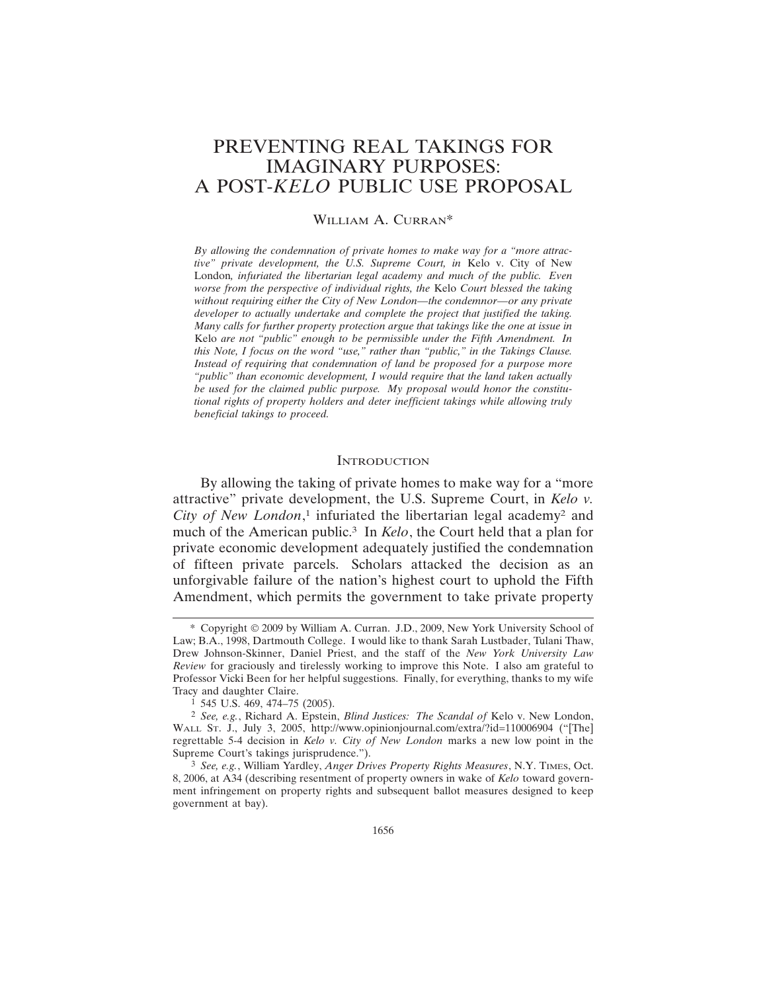# PREVENTING REAL TAKINGS FOR IMAGINARY PURPOSES: A POST-*KELO* PUBLIC USE PROPOSAL

# WILLIAM A. CURRAN\*

*By allowing the condemnation of private homes to make way for a "more attractive" private development, the U.S. Supreme Court, in* Kelo v. City of New London*, infuriated the libertarian legal academy and much of the public. Even worse from the perspective of individual rights, the* Kelo *Court blessed the taking without requiring either the City of New London—the condemnor—or any private developer to actually undertake and complete the project that justified the taking. Many calls for further property protection argue that takings like the one at issue in* Kelo *are not "public" enough to be permissible under the Fifth Amendment. In this Note, I focus on the word "use," rather than "public," in the Takings Clause. Instead of requiring that condemnation of land be proposed for a purpose more "public" than economic development, I would require that the land taken actually be used for the claimed public purpose. My proposal would honor the constitutional rights of property holders and deter inefficient takings while allowing truly beneficial takings to proceed.*

#### **INTRODUCTION**

By allowing the taking of private homes to make way for a "more attractive" private development, the U.S. Supreme Court, in *Kelo v. City of New London*, 1 infuriated the libertarian legal academy2 and much of the American public.3 In *Kelo*, the Court held that a plan for private economic development adequately justified the condemnation of fifteen private parcels. Scholars attacked the decision as an unforgivable failure of the nation's highest court to uphold the Fifth Amendment, which permits the government to take private property

<sup>\*</sup> Copyright © 2009 by William A. Curran. J.D., 2009, New York University School of Law; B.A., 1998, Dartmouth College. I would like to thank Sarah Lustbader, Tulani Thaw, Drew Johnson-Skinner, Daniel Priest, and the staff of the *New York University Law Review* for graciously and tirelessly working to improve this Note. I also am grateful to Professor Vicki Been for her helpful suggestions. Finally, for everything, thanks to my wife Tracy and daughter Claire.

 $1$  545 U.S. 469, 474–75 (2005).

<sup>2</sup> *See, e.g.*, Richard A. Epstein, *Blind Justices: The Scandal of* Kelo v. New London, WALL ST. J., July 3, 2005, http://www.opinionjournal.com/extra/?id=110006904 ("[The] regrettable 5-4 decision in *Kelo v. City of New London* marks a new low point in the Supreme Court's takings jurisprudence.").

<sup>3</sup> *See, e.g.*, William Yardley, *Anger Drives Property Rights Measures*, N.Y. TIMES, Oct. 8, 2006, at A34 (describing resentment of property owners in wake of *Kelo* toward government infringement on property rights and subsequent ballot measures designed to keep government at bay).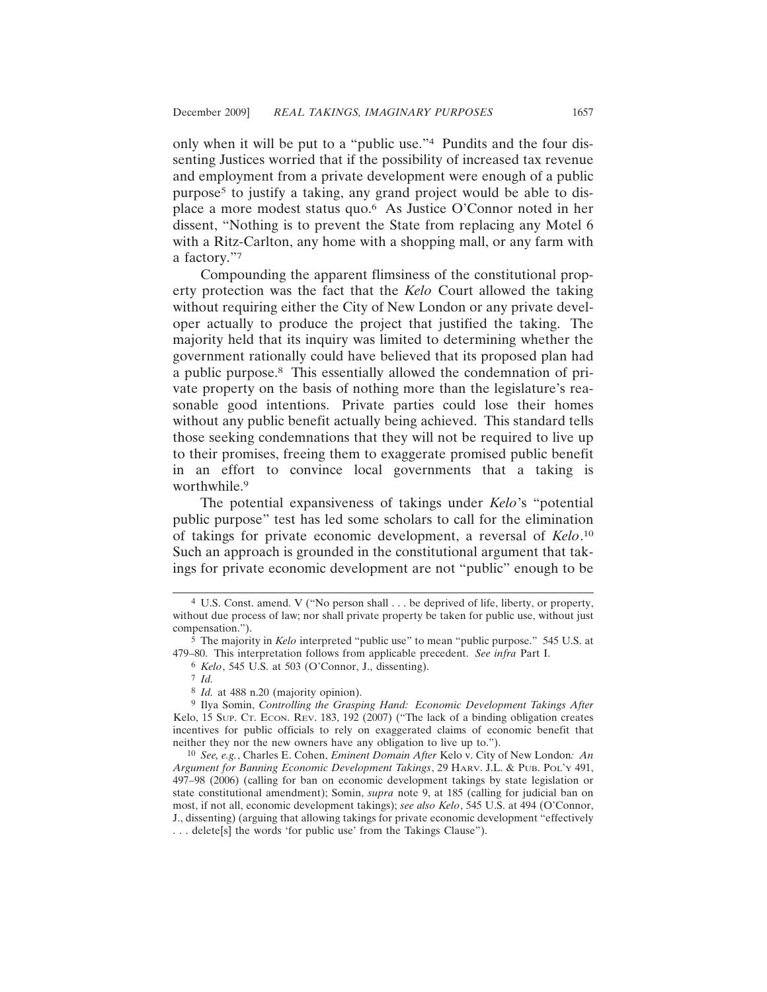only when it will be put to a "public use."4 Pundits and the four dissenting Justices worried that if the possibility of increased tax revenue and employment from a private development were enough of a public purpose5 to justify a taking, any grand project would be able to displace a more modest status quo.6 As Justice O'Connor noted in her dissent, "Nothing is to prevent the State from replacing any Motel 6 with a Ritz-Carlton, any home with a shopping mall, or any farm with a factory."7

Compounding the apparent flimsiness of the constitutional property protection was the fact that the *Kelo* Court allowed the taking without requiring either the City of New London or any private developer actually to produce the project that justified the taking. The majority held that its inquiry was limited to determining whether the government rationally could have believed that its proposed plan had a public purpose.8 This essentially allowed the condemnation of private property on the basis of nothing more than the legislature's reasonable good intentions. Private parties could lose their homes without any public benefit actually being achieved. This standard tells those seeking condemnations that they will not be required to live up to their promises, freeing them to exaggerate promised public benefit in an effort to convince local governments that a taking is worthwhile.<sup>9</sup>

The potential expansiveness of takings under *Kelo*'s "potential public purpose" test has led some scholars to call for the elimination of takings for private economic development, a reversal of *Kelo*. 10 Such an approach is grounded in the constitutional argument that takings for private economic development are not "public" enough to be

<sup>4</sup> U.S. Const. amend. V ("No person shall . . . be deprived of life, liberty, or property, without due process of law; nor shall private property be taken for public use, without just compensation.").

<sup>5</sup> The majority in *Kelo* interpreted "public use" to mean "public purpose." 545 U.S. at 479–80. This interpretation follows from applicable precedent. *See infra* Part I.

<sup>6</sup> *Kelo*, 545 U.S. at 503 (O'Connor, J., dissenting).

<sup>7</sup> *Id.*

<sup>8</sup> *Id.* at 488 n.20 (majority opinion).

<sup>9</sup> Ilya Somin, *Controlling the Grasping Hand: Economic Development Takings After* Kelo, 15 SUP. CT. ECON. REV. 183, 192 (2007) ("The lack of a binding obligation creates incentives for public officials to rely on exaggerated claims of economic benefit that neither they nor the new owners have any obligation to live up to.").

<sup>10</sup> *See, e.g.*, Charles E. Cohen, *Eminent Domain After* Kelo v. City of New London*: An Argument for Banning Economic Development Takings*, 29 HARV. J.L. & PUB. POL'Y 491, 497–98 (2006) (calling for ban on economic development takings by state legislation or state constitutional amendment); Somin, *supra* note 9, at 185 (calling for judicial ban on most, if not all, economic development takings); *see also Kelo*, 545 U.S. at 494 (O'Connor, J., dissenting) (arguing that allowing takings for private economic development "effectively . . . delete[s] the words 'for public use' from the Takings Clause").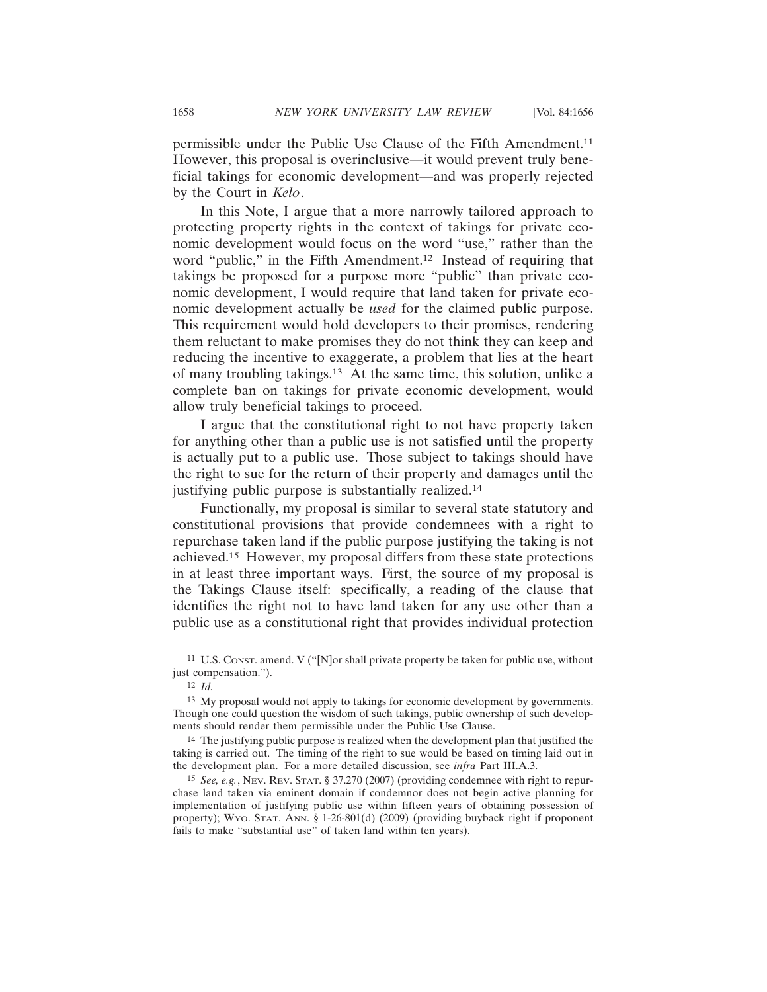permissible under the Public Use Clause of the Fifth Amendment.11 However, this proposal is overinclusive—it would prevent truly beneficial takings for economic development—and was properly rejected by the Court in *Kelo*.

In this Note, I argue that a more narrowly tailored approach to protecting property rights in the context of takings for private economic development would focus on the word "use," rather than the word "public," in the Fifth Amendment.<sup>12</sup> Instead of requiring that takings be proposed for a purpose more "public" than private economic development, I would require that land taken for private economic development actually be *used* for the claimed public purpose. This requirement would hold developers to their promises, rendering them reluctant to make promises they do not think they can keep and reducing the incentive to exaggerate, a problem that lies at the heart of many troubling takings.13 At the same time, this solution, unlike a complete ban on takings for private economic development, would allow truly beneficial takings to proceed.

I argue that the constitutional right to not have property taken for anything other than a public use is not satisfied until the property is actually put to a public use. Those subject to takings should have the right to sue for the return of their property and damages until the justifying public purpose is substantially realized.14

Functionally, my proposal is similar to several state statutory and constitutional provisions that provide condemnees with a right to repurchase taken land if the public purpose justifying the taking is not achieved.15 However, my proposal differs from these state protections in at least three important ways. First, the source of my proposal is the Takings Clause itself: specifically, a reading of the clause that identifies the right not to have land taken for any use other than a public use as a constitutional right that provides individual protection

<sup>11</sup> U.S. CONST. amend. V ("[N]or shall private property be taken for public use, without just compensation.").

<sup>12</sup> *Id.*

<sup>13</sup> My proposal would not apply to takings for economic development by governments. Though one could question the wisdom of such takings, public ownership of such developments should render them permissible under the Public Use Clause.

<sup>14</sup> The justifying public purpose is realized when the development plan that justified the taking is carried out. The timing of the right to sue would be based on timing laid out in the development plan. For a more detailed discussion, see *infra* Part III.A.3.

<sup>15</sup> *See, e.g.*, NEV. REV. STAT. § 37.270 (2007) (providing condemnee with right to repurchase land taken via eminent domain if condemnor does not begin active planning for implementation of justifying public use within fifteen years of obtaining possession of property); WYO. STAT. ANN. § 1-26-801(d) (2009) (providing buyback right if proponent fails to make "substantial use" of taken land within ten years).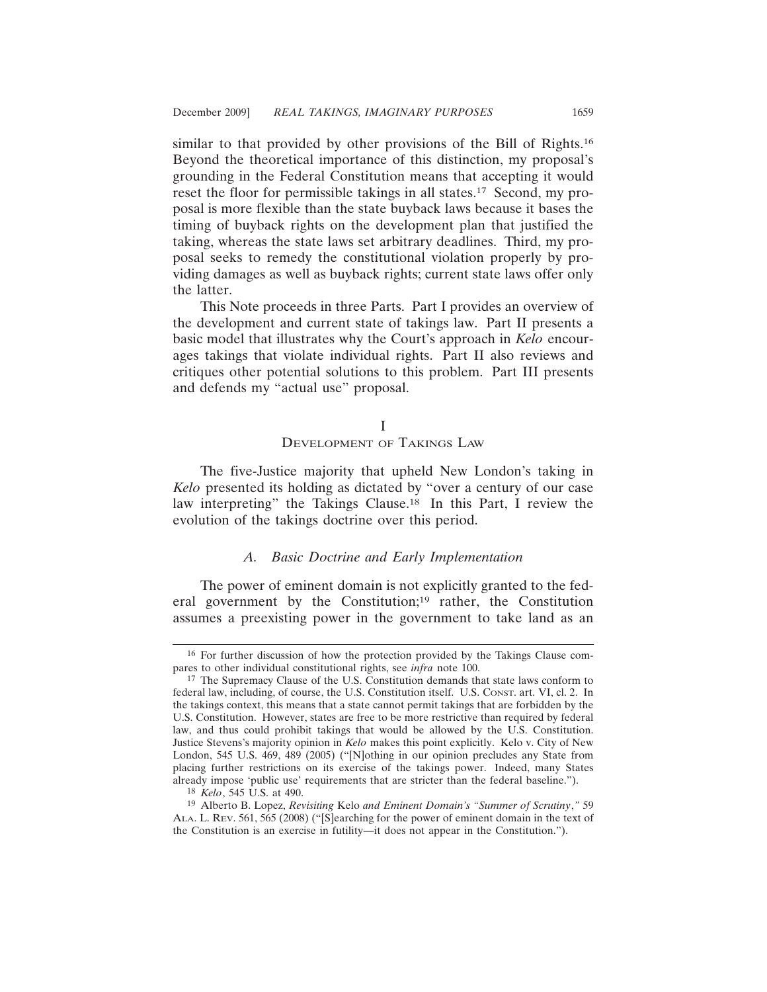similar to that provided by other provisions of the Bill of Rights.16 Beyond the theoretical importance of this distinction, my proposal's grounding in the Federal Constitution means that accepting it would reset the floor for permissible takings in all states.<sup>17</sup> Second, my proposal is more flexible than the state buyback laws because it bases the timing of buyback rights on the development plan that justified the taking, whereas the state laws set arbitrary deadlines. Third, my proposal seeks to remedy the constitutional violation properly by providing damages as well as buyback rights; current state laws offer only the latter.

This Note proceeds in three Parts. Part I provides an overview of the development and current state of takings law. Part II presents a basic model that illustrates why the Court's approach in *Kelo* encourages takings that violate individual rights. Part II also reviews and critiques other potential solutions to this problem. Part III presents and defends my "actual use" proposal.

#### I

# DEVELOPMENT OF TAKINGS LAW

The five-Justice majority that upheld New London's taking in *Kelo* presented its holding as dictated by "over a century of our case law interpreting" the Takings Clause.18 In this Part, I review the evolution of the takings doctrine over this period.

# *A. Basic Doctrine and Early Implementation*

The power of eminent domain is not explicitly granted to the federal government by the Constitution;<sup>19</sup> rather, the Constitution assumes a preexisting power in the government to take land as an

<sup>16</sup> For further discussion of how the protection provided by the Takings Clause compares to other individual constitutional rights, see *infra* note 100.

<sup>17</sup> The Supremacy Clause of the U.S. Constitution demands that state laws conform to federal law, including, of course, the U.S. Constitution itself. U.S. CONST. art. VI, cl. 2. In the takings context, this means that a state cannot permit takings that are forbidden by the U.S. Constitution. However, states are free to be more restrictive than required by federal law, and thus could prohibit takings that would be allowed by the U.S. Constitution. Justice Stevens's majority opinion in *Kelo* makes this point explicitly. Kelo v. City of New London, 545 U.S. 469, 489 (2005) ("[N]othing in our opinion precludes any State from placing further restrictions on its exercise of the takings power. Indeed, many States already impose 'public use' requirements that are stricter than the federal baseline.").

<sup>18</sup> *Kelo*, 545 U.S. at 490.

<sup>19</sup> Alberto B. Lopez, *Revisiting* Kelo *and Eminent Domain's "Summer of Scrutiny*,*"* 59 ALA. L. REV. 561, 565 (2008) ("[S]earching for the power of eminent domain in the text of the Constitution is an exercise in futility—it does not appear in the Constitution.").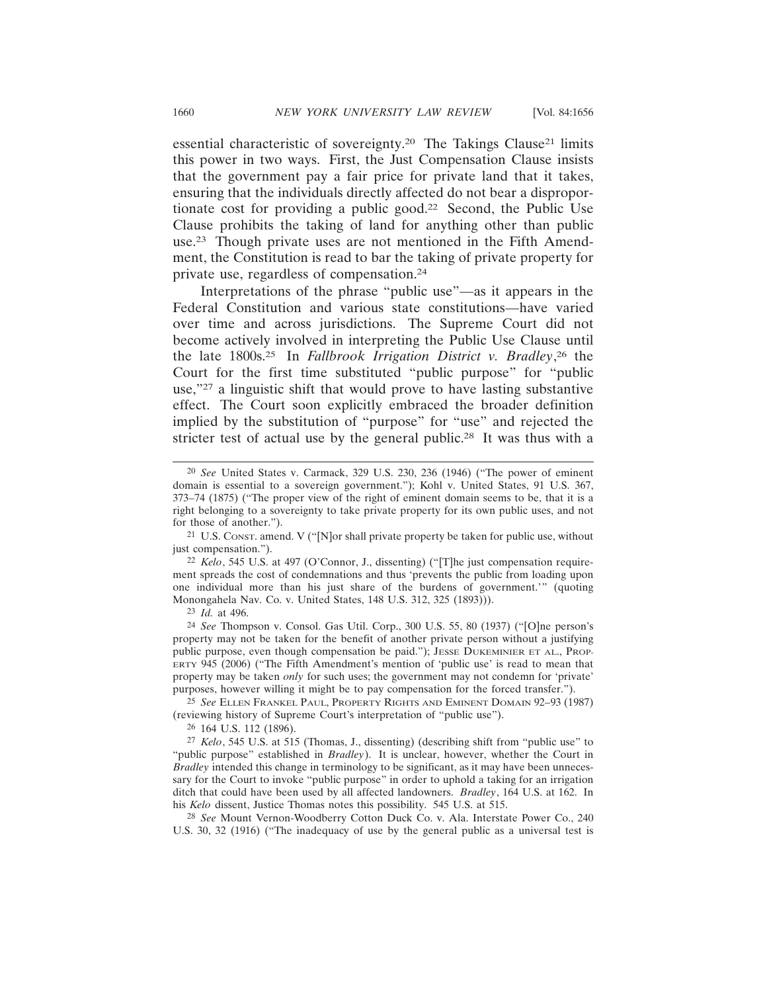essential characteristic of sovereignty.<sup>20</sup> The Takings Clause<sup>21</sup> limits this power in two ways. First, the Just Compensation Clause insists that the government pay a fair price for private land that it takes, ensuring that the individuals directly affected do not bear a disproportionate cost for providing a public good.22 Second, the Public Use Clause prohibits the taking of land for anything other than public use.23 Though private uses are not mentioned in the Fifth Amendment, the Constitution is read to bar the taking of private property for private use, regardless of compensation.24

Interpretations of the phrase "public use"—as it appears in the Federal Constitution and various state constitutions—have varied over time and across jurisdictions. The Supreme Court did not become actively involved in interpreting the Public Use Clause until the late 1800s.25 In *Fallbrook Irrigation District v. Bradley*, 26 the Court for the first time substituted "public purpose" for "public use,"27 a linguistic shift that would prove to have lasting substantive effect. The Court soon explicitly embraced the broader definition implied by the substitution of "purpose" for "use" and rejected the stricter test of actual use by the general public.28 It was thus with a

26 164 U.S. 112 (1896).

27 *Kelo*, 545 U.S. at 515 (Thomas, J., dissenting) (describing shift from "public use" to "public purpose" established in *Bradley*). It is unclear, however, whether the Court in *Bradley* intended this change in terminology to be significant, as it may have been unnecessary for the Court to invoke "public purpose" in order to uphold a taking for an irrigation ditch that could have been used by all affected landowners. *Bradley*, 164 U.S. at 162. In his *Kelo* dissent, Justice Thomas notes this possibility. 545 U.S. at 515.

28 *See* Mount Vernon-Woodberry Cotton Duck Co. v. Ala. Interstate Power Co., 240 U.S. 30, 32 (1916) ("The inadequacy of use by the general public as a universal test is

<sup>20</sup> *See* United States v. Carmack, 329 U.S. 230, 236 (1946) ("The power of eminent domain is essential to a sovereign government."); Kohl v. United States, 91 U.S. 367, 373–74 (1875) ("The proper view of the right of eminent domain seems to be, that it is a right belonging to a sovereignty to take private property for its own public uses, and not for those of another.").

<sup>21</sup> U.S. CONST. amend. V ("[N]or shall private property be taken for public use, without just compensation.").

<sup>22</sup> *Kelo*, 545 U.S. at 497 (O'Connor, J., dissenting) ("[T]he just compensation requirement spreads the cost of condemnations and thus 'prevents the public from loading upon one individual more than his just share of the burdens of government.'" (quoting Monongahela Nav. Co. v. United States, 148 U.S. 312, 325 (1893))).

<sup>23</sup> *Id.* at 496.

<sup>24</sup> *See* Thompson v. Consol. Gas Util. Corp., 300 U.S. 55, 80 (1937) ("[O]ne person's property may not be taken for the benefit of another private person without a justifying public purpose, even though compensation be paid."); JESSE DUKEMINIER ET AL., PROP-ERTY 945 (2006) ("The Fifth Amendment's mention of 'public use' is read to mean that property may be taken *only* for such uses; the government may not condemn for 'private' purposes, however willing it might be to pay compensation for the forced transfer.").

<sup>25</sup> *See* ELLEN FRANKEL PAUL, PROPERTY RIGHTS AND EMINENT DOMAIN 92–93 (1987) (reviewing history of Supreme Court's interpretation of "public use").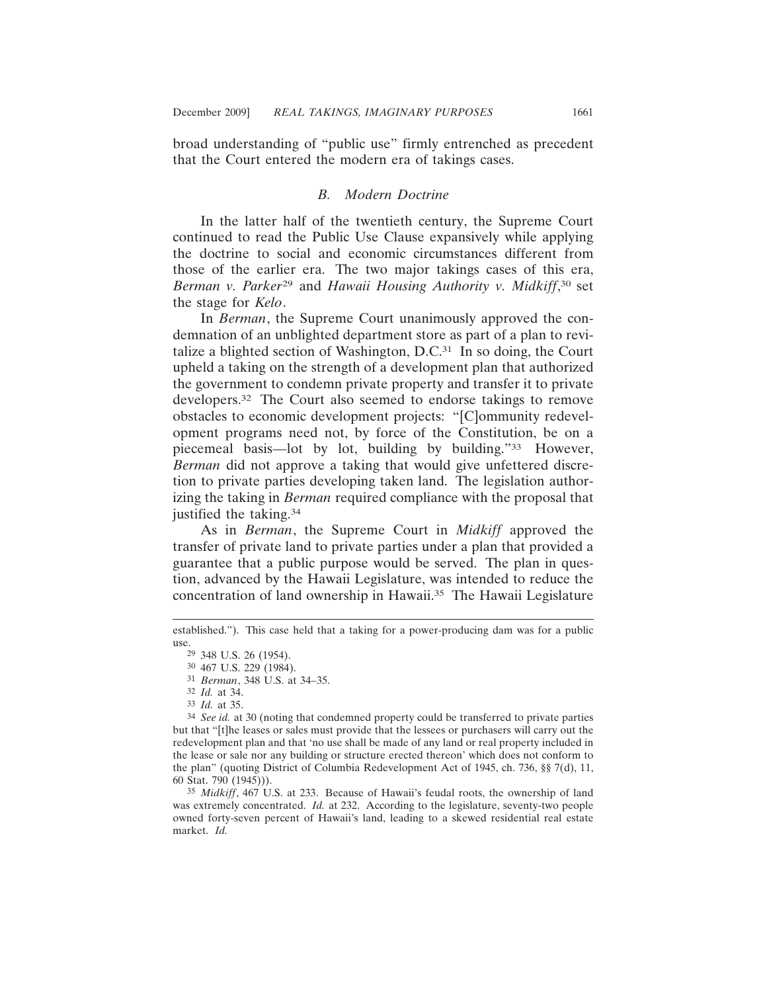broad understanding of "public use" firmly entrenched as precedent that the Court entered the modern era of takings cases.

#### *B. Modern Doctrine*

In the latter half of the twentieth century, the Supreme Court continued to read the Public Use Clause expansively while applying the doctrine to social and economic circumstances different from those of the earlier era. The two major takings cases of this era, *Berman v. Parker*<sup>29</sup> and *Hawaii Housing Authority v. Midkiff*, 30 set the stage for *Kelo*.

In *Berman*, the Supreme Court unanimously approved the condemnation of an unblighted department store as part of a plan to revitalize a blighted section of Washington, D.C.31 In so doing, the Court upheld a taking on the strength of a development plan that authorized the government to condemn private property and transfer it to private developers.32 The Court also seemed to endorse takings to remove obstacles to economic development projects: "[C]ommunity redevelopment programs need not, by force of the Constitution, be on a piecemeal basis—lot by lot, building by building."33 However, *Berman* did not approve a taking that would give unfettered discretion to private parties developing taken land. The legislation authorizing the taking in *Berman* required compliance with the proposal that justified the taking.34

As in *Berman*, the Supreme Court in *Midkiff* approved the transfer of private land to private parties under a plan that provided a guarantee that a public purpose would be served. The plan in question, advanced by the Hawaii Legislature, was intended to reduce the concentration of land ownership in Hawaii.<sup>35</sup> The Hawaii Legislature

established."). This case held that a taking for a power-producing dam was for a public use.<br><sup>29</sup> 348 U.S. 26 (1954).

<sup>30</sup> 467 U.S. 229 (1984).

<sup>31</sup> *Berman*, 348 U.S. at 34–35.

<sup>32</sup> *Id.* at 34.

<sup>33</sup> *Id.* at 35.

<sup>34</sup> *See id.* at 30 (noting that condemned property could be transferred to private parties but that "[t]he leases or sales must provide that the lessees or purchasers will carry out the redevelopment plan and that 'no use shall be made of any land or real property included in the lease or sale nor any building or structure erected thereon' which does not conform to the plan" (quoting District of Columbia Redevelopment Act of 1945, ch. 736, §§ 7(d), 11, 60 Stat. 790 (1945))).

<sup>35</sup> *Midkiff*, 467 U.S. at 233. Because of Hawaii's feudal roots, the ownership of land was extremely concentrated. *Id.* at 232. According to the legislature, seventy-two people owned forty-seven percent of Hawaii's land, leading to a skewed residential real estate market. *Id.*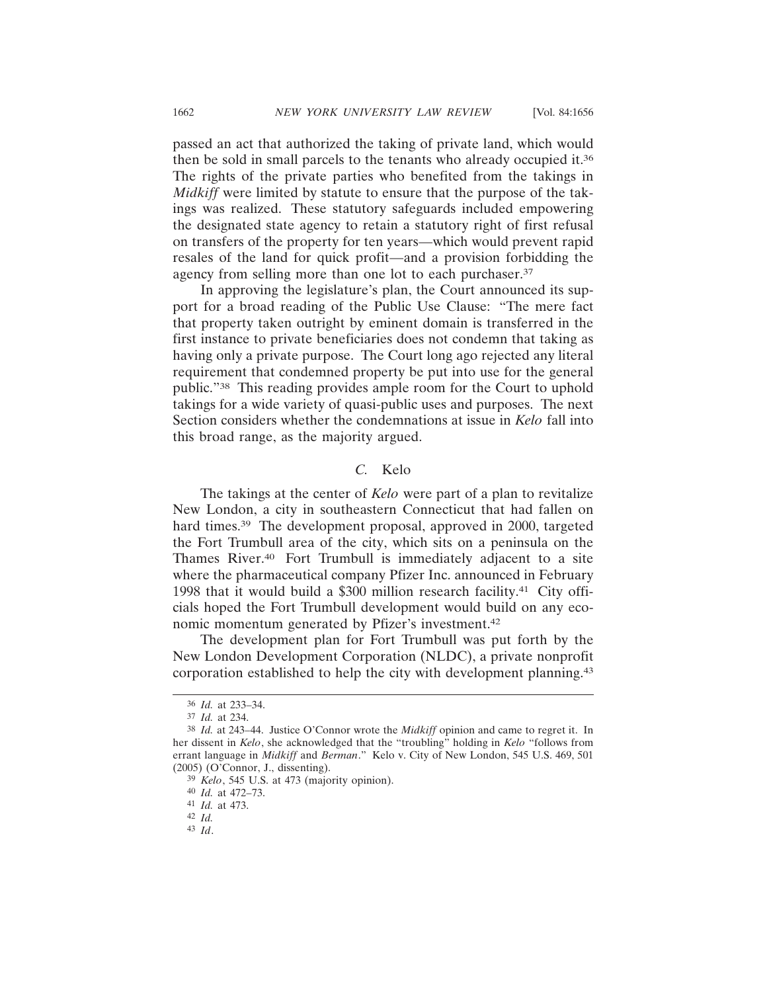passed an act that authorized the taking of private land, which would then be sold in small parcels to the tenants who already occupied it.36 The rights of the private parties who benefited from the takings in *Midkiff* were limited by statute to ensure that the purpose of the takings was realized. These statutory safeguards included empowering the designated state agency to retain a statutory right of first refusal on transfers of the property for ten years—which would prevent rapid resales of the land for quick profit—and a provision forbidding the agency from selling more than one lot to each purchaser.<sup>37</sup>

In approving the legislature's plan, the Court announced its support for a broad reading of the Public Use Clause: "The mere fact that property taken outright by eminent domain is transferred in the first instance to private beneficiaries does not condemn that taking as having only a private purpose. The Court long ago rejected any literal requirement that condemned property be put into use for the general public."38 This reading provides ample room for the Court to uphold takings for a wide variety of quasi-public uses and purposes. The next Section considers whether the condemnations at issue in *Kelo* fall into this broad range, as the majority argued.

# *C.* Kelo

The takings at the center of *Kelo* were part of a plan to revitalize New London, a city in southeastern Connecticut that had fallen on hard times.<sup>39</sup> The development proposal, approved in 2000, targeted the Fort Trumbull area of the city, which sits on a peninsula on the Thames River.40 Fort Trumbull is immediately adjacent to a site where the pharmaceutical company Pfizer Inc. announced in February 1998 that it would build a \$300 million research facility.41 City officials hoped the Fort Trumbull development would build on any economic momentum generated by Pfizer's investment.42

The development plan for Fort Trumbull was put forth by the New London Development Corporation (NLDC), a private nonprofit corporation established to help the city with development planning.43

<sup>36</sup> *Id.* at 233–34.

<sup>37</sup> *Id.* at 234.

<sup>38</sup> *Id.* at 243–44. Justice O'Connor wrote the *Midkiff* opinion and came to regret it. In her dissent in *Kelo*, she acknowledged that the "troubling" holding in *Kelo* "follows from errant language in *Midkiff* and *Berman*." Kelo v. City of New London, 545 U.S. 469, 501 (2005) (O'Connor, J., dissenting).

<sup>39</sup> *Kelo*, 545 U.S. at 473 (majority opinion).

<sup>40</sup> *Id.* at 472–73.

<sup>41</sup> *Id.* at 473.

<sup>42</sup> *Id.*

<sup>43</sup> *Id*.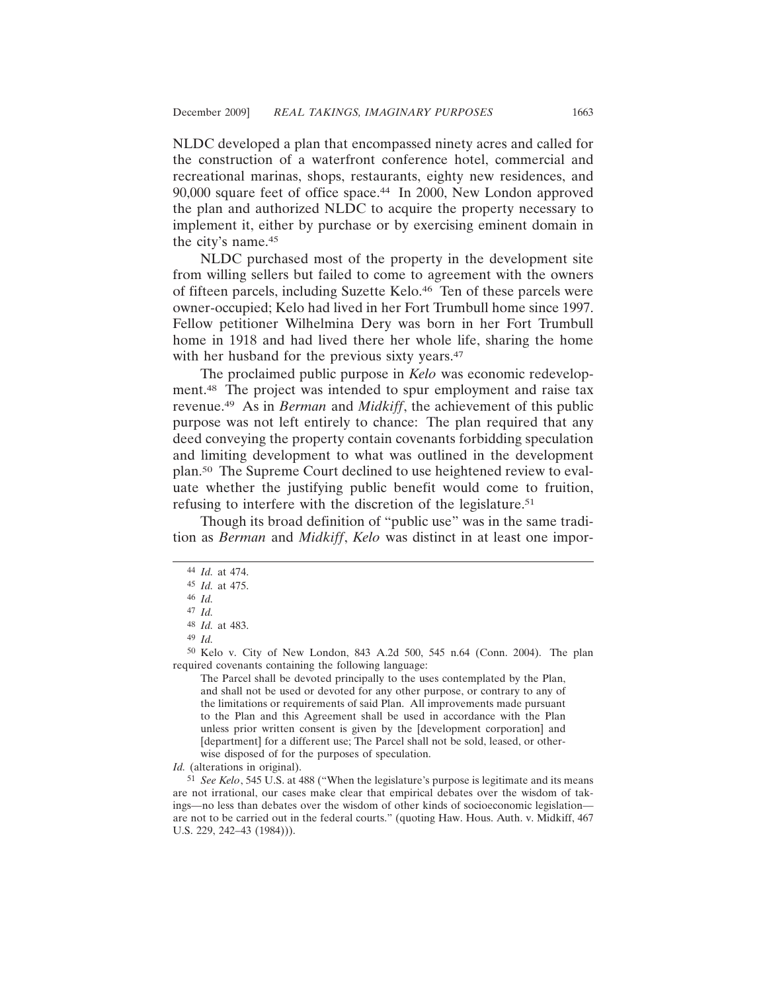NLDC developed a plan that encompassed ninety acres and called for the construction of a waterfront conference hotel, commercial and recreational marinas, shops, restaurants, eighty new residences, and 90,000 square feet of office space.44 In 2000, New London approved the plan and authorized NLDC to acquire the property necessary to implement it, either by purchase or by exercising eminent domain in the city's name.45

NLDC purchased most of the property in the development site from willing sellers but failed to come to agreement with the owners of fifteen parcels, including Suzette Kelo.46 Ten of these parcels were owner-occupied; Kelo had lived in her Fort Trumbull home since 1997. Fellow petitioner Wilhelmina Dery was born in her Fort Trumbull home in 1918 and had lived there her whole life, sharing the home with her husband for the previous sixty years.<sup>47</sup>

The proclaimed public purpose in *Kelo* was economic redevelopment.48 The project was intended to spur employment and raise tax revenue.49 As in *Berman* and *Midkiff*, the achievement of this public purpose was not left entirely to chance: The plan required that any deed conveying the property contain covenants forbidding speculation and limiting development to what was outlined in the development plan.50 The Supreme Court declined to use heightened review to evaluate whether the justifying public benefit would come to fruition, refusing to interfere with the discretion of the legislature.51

Though its broad definition of "public use" was in the same tradition as *Berman* and *Midkiff*, *Kelo* was distinct in at least one impor-

49 *Id.*

50 Kelo v. City of New London, 843 A.2d 500, 545 n.64 (Conn. 2004). The plan required covenants containing the following language:

The Parcel shall be devoted principally to the uses contemplated by the Plan, and shall not be used or devoted for any other purpose, or contrary to any of the limitations or requirements of said Plan. All improvements made pursuant to the Plan and this Agreement shall be used in accordance with the Plan unless prior written consent is given by the [development corporation] and [department] for a different use; The Parcel shall not be sold, leased, or otherwise disposed of for the purposes of speculation.

*Id.* (alterations in original).

51 *See Kelo*, 545 U.S. at 488 ("When the legislature's purpose is legitimate and its means are not irrational, our cases make clear that empirical debates over the wisdom of takings—no less than debates over the wisdom of other kinds of socioeconomic legislation are not to be carried out in the federal courts." (quoting Haw. Hous. Auth. v. Midkiff, 467 U.S. 229, 242–43 (1984))).

<sup>44</sup> *Id.* at 474.

<sup>45</sup> *Id.* at 475.

<sup>46</sup> *Id.*

<sup>47</sup> *Id.*

<sup>48</sup> *Id.* at 483.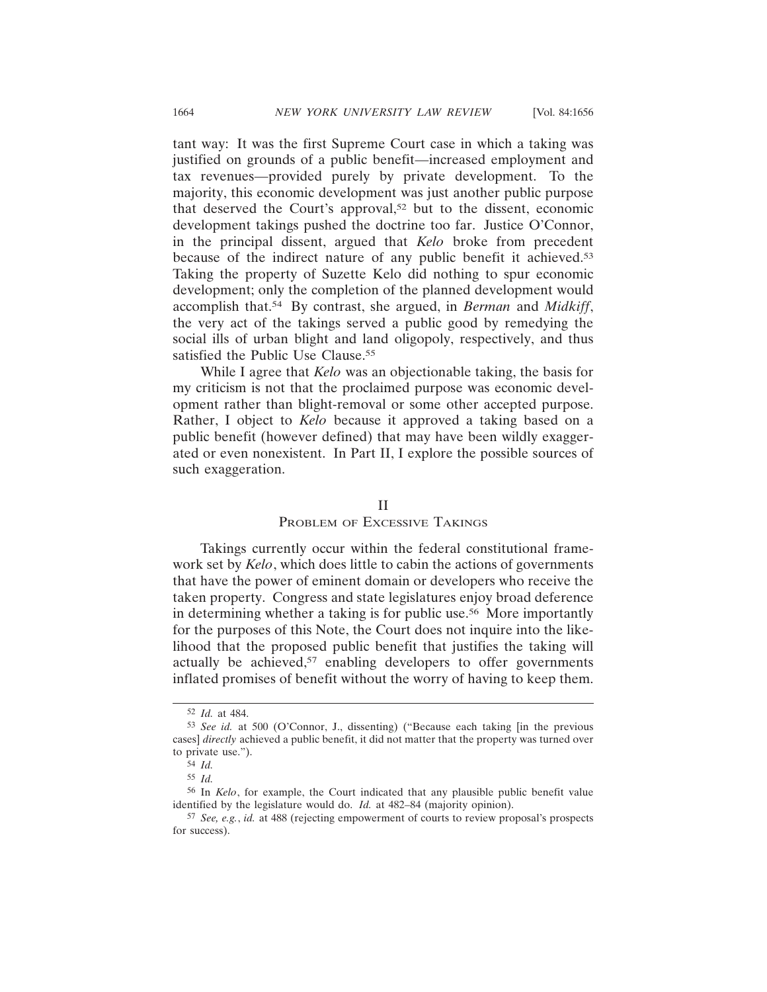tant way: It was the first Supreme Court case in which a taking was justified on grounds of a public benefit—increased employment and tax revenues—provided purely by private development. To the majority, this economic development was just another public purpose that deserved the Court's approval,52 but to the dissent, economic development takings pushed the doctrine too far. Justice O'Connor, in the principal dissent, argued that *Kelo* broke from precedent because of the indirect nature of any public benefit it achieved.53 Taking the property of Suzette Kelo did nothing to spur economic development; only the completion of the planned development would accomplish that.54 By contrast, she argued, in *Berman* and *Midkiff*, the very act of the takings served a public good by remedying the social ills of urban blight and land oligopoly, respectively, and thus satisfied the Public Use Clause.<sup>55</sup>

While I agree that *Kelo* was an objectionable taking, the basis for my criticism is not that the proclaimed purpose was economic development rather than blight-removal or some other accepted purpose. Rather, I object to *Kelo* because it approved a taking based on a public benefit (however defined) that may have been wildly exaggerated or even nonexistent. In Part II, I explore the possible sources of such exaggeration.

# II

# PROBLEM OF EXCESSIVE TAKINGS

Takings currently occur within the federal constitutional framework set by *Kelo*, which does little to cabin the actions of governments that have the power of eminent domain or developers who receive the taken property. Congress and state legislatures enjoy broad deference in determining whether a taking is for public use.<sup>56</sup> More importantly for the purposes of this Note, the Court does not inquire into the likelihood that the proposed public benefit that justifies the taking will actually be achieved, $57$  enabling developers to offer governments inflated promises of benefit without the worry of having to keep them.

<sup>52</sup> *Id.* at 484.

<sup>53</sup> *See id.* at 500 (O'Connor, J., dissenting) ("Because each taking [in the previous cases] *directly* achieved a public benefit, it did not matter that the property was turned over to private use.").

<sup>54</sup> *Id.*

<sup>55</sup> *Id.*

<sup>56</sup> In *Kelo*, for example, the Court indicated that any plausible public benefit value identified by the legislature would do. *Id.* at 482–84 (majority opinion).

<sup>57</sup> *See, e.g.*, *id.* at 488 (rejecting empowerment of courts to review proposal's prospects for success).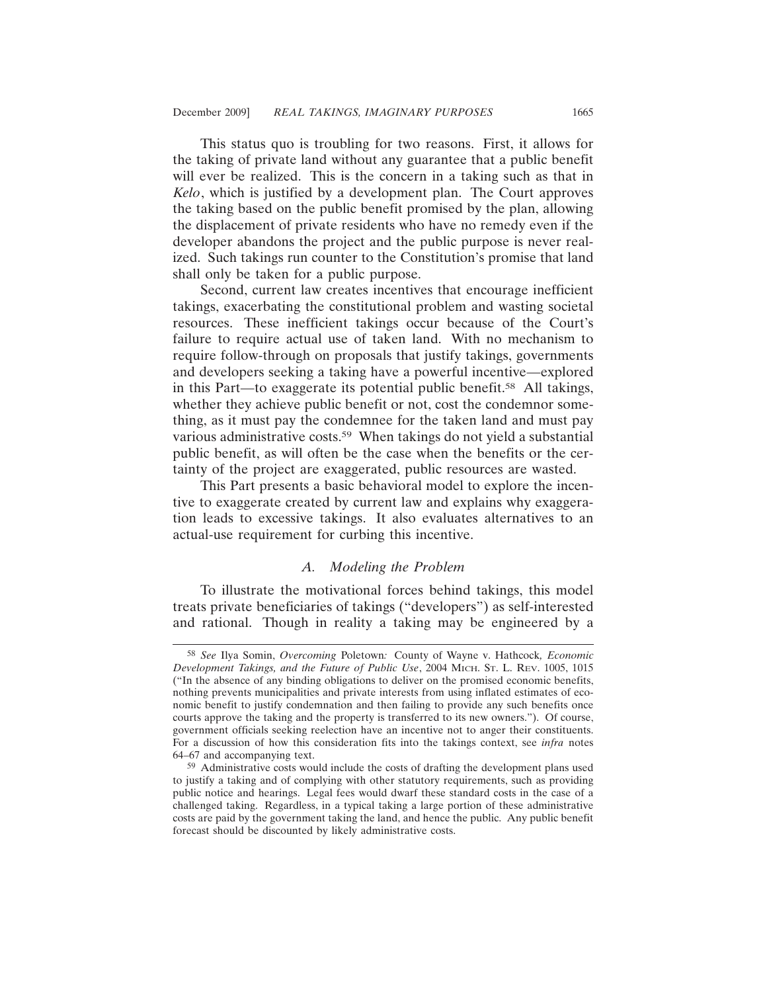This status quo is troubling for two reasons. First, it allows for the taking of private land without any guarantee that a public benefit will ever be realized. This is the concern in a taking such as that in *Kelo*, which is justified by a development plan. The Court approves the taking based on the public benefit promised by the plan, allowing the displacement of private residents who have no remedy even if the developer abandons the project and the public purpose is never realized. Such takings run counter to the Constitution's promise that land shall only be taken for a public purpose.

Second, current law creates incentives that encourage inefficient takings, exacerbating the constitutional problem and wasting societal resources. These inefficient takings occur because of the Court's failure to require actual use of taken land. With no mechanism to require follow-through on proposals that justify takings, governments and developers seeking a taking have a powerful incentive—explored in this Part—to exaggerate its potential public benefit.58 All takings, whether they achieve public benefit or not, cost the condemnor something, as it must pay the condemnee for the taken land and must pay various administrative costs.<sup>59</sup> When takings do not yield a substantial public benefit, as will often be the case when the benefits or the certainty of the project are exaggerated, public resources are wasted.

This Part presents a basic behavioral model to explore the incentive to exaggerate created by current law and explains why exaggeration leads to excessive takings. It also evaluates alternatives to an actual-use requirement for curbing this incentive.

# *A. Modeling the Problem*

To illustrate the motivational forces behind takings, this model treats private beneficiaries of takings ("developers") as self-interested and rational. Though in reality a taking may be engineered by a

<sup>58</sup> *See* Ilya Somin, *Overcoming* Poletown*:* County of Wayne v. Hathcock*, Economic Development Takings, and the Future of Public Use*, 2004 MICH. ST. L. REV. 1005, 1015 ("In the absence of any binding obligations to deliver on the promised economic benefits, nothing prevents municipalities and private interests from using inflated estimates of economic benefit to justify condemnation and then failing to provide any such benefits once courts approve the taking and the property is transferred to its new owners."). Of course, government officials seeking reelection have an incentive not to anger their constituents. For a discussion of how this consideration fits into the takings context, see *infra* notes 64–67 and accompanying text.

<sup>59</sup> Administrative costs would include the costs of drafting the development plans used to justify a taking and of complying with other statutory requirements, such as providing public notice and hearings. Legal fees would dwarf these standard costs in the case of a challenged taking. Regardless, in a typical taking a large portion of these administrative costs are paid by the government taking the land, and hence the public. Any public benefit forecast should be discounted by likely administrative costs.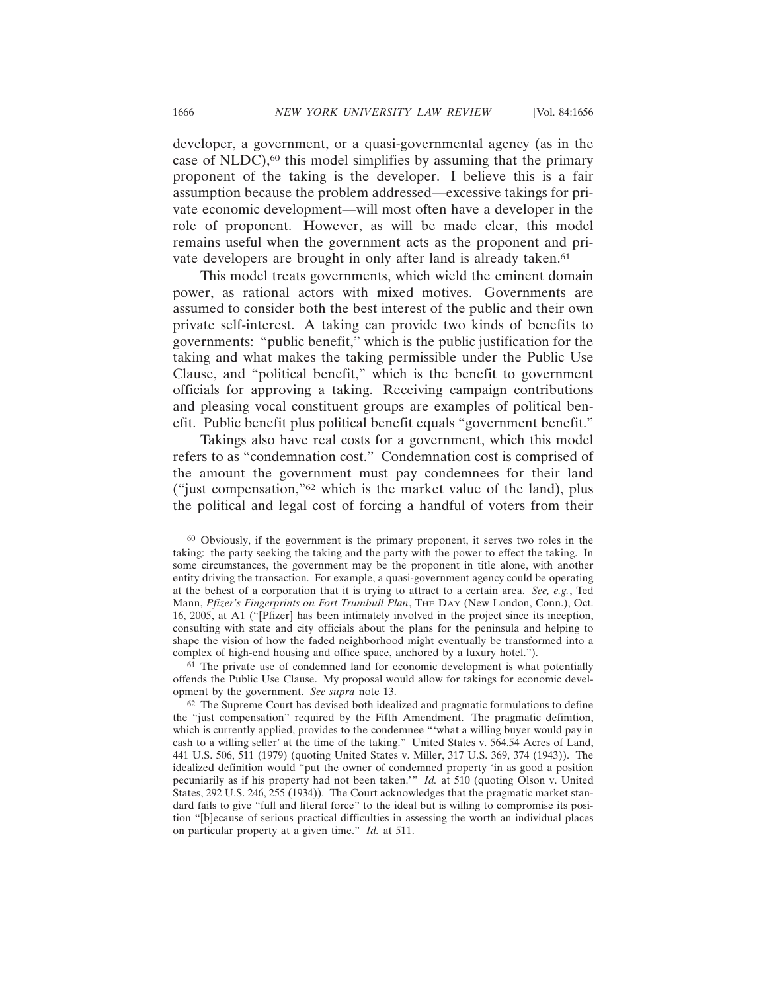developer, a government, or a quasi-governmental agency (as in the case of NLDC),60 this model simplifies by assuming that the primary proponent of the taking is the developer. I believe this is a fair assumption because the problem addressed—excessive takings for private economic development—will most often have a developer in the role of proponent. However, as will be made clear, this model remains useful when the government acts as the proponent and private developers are brought in only after land is already taken.<sup>61</sup>

This model treats governments, which wield the eminent domain power, as rational actors with mixed motives. Governments are assumed to consider both the best interest of the public and their own private self-interest. A taking can provide two kinds of benefits to governments: "public benefit," which is the public justification for the taking and what makes the taking permissible under the Public Use Clause, and "political benefit," which is the benefit to government officials for approving a taking. Receiving campaign contributions and pleasing vocal constituent groups are examples of political benefit. Public benefit plus political benefit equals "government benefit."

Takings also have real costs for a government, which this model refers to as "condemnation cost." Condemnation cost is comprised of the amount the government must pay condemnees for their land ("just compensation,"62 which is the market value of the land), plus the political and legal cost of forcing a handful of voters from their

<sup>60</sup> Obviously, if the government is the primary proponent, it serves two roles in the taking: the party seeking the taking and the party with the power to effect the taking. In some circumstances, the government may be the proponent in title alone, with another entity driving the transaction. For example, a quasi-government agency could be operating at the behest of a corporation that it is trying to attract to a certain area. *See, e.g.*, Ted Mann, Pfizer's Fingerprints on Fort Trumbull Plan, THE DAY (New London, Conn.), Oct. 16, 2005, at A1 ("[Pfizer] has been intimately involved in the project since its inception, consulting with state and city officials about the plans for the peninsula and helping to shape the vision of how the faded neighborhood might eventually be transformed into a complex of high-end housing and office space, anchored by a luxury hotel.").

<sup>61</sup> The private use of condemned land for economic development is what potentially offends the Public Use Clause. My proposal would allow for takings for economic development by the government. *See supra* note 13.

<sup>62</sup> The Supreme Court has devised both idealized and pragmatic formulations to define the "just compensation" required by the Fifth Amendment. The pragmatic definition, which is currently applied, provides to the condemnee "'what a willing buyer would pay in cash to a willing seller' at the time of the taking." United States v. 564.54 Acres of Land, 441 U.S. 506, 511 (1979) (quoting United States v. Miller, 317 U.S. 369, 374 (1943)). The idealized definition would "put the owner of condemned property 'in as good a position pecuniarily as if his property had not been taken.'" *Id.* at 510 (quoting Olson v. United States, 292 U.S. 246, 255 (1934)). The Court acknowledges that the pragmatic market standard fails to give "full and literal force" to the ideal but is willing to compromise its position "[b]ecause of serious practical difficulties in assessing the worth an individual places on particular property at a given time." *Id.* at 511.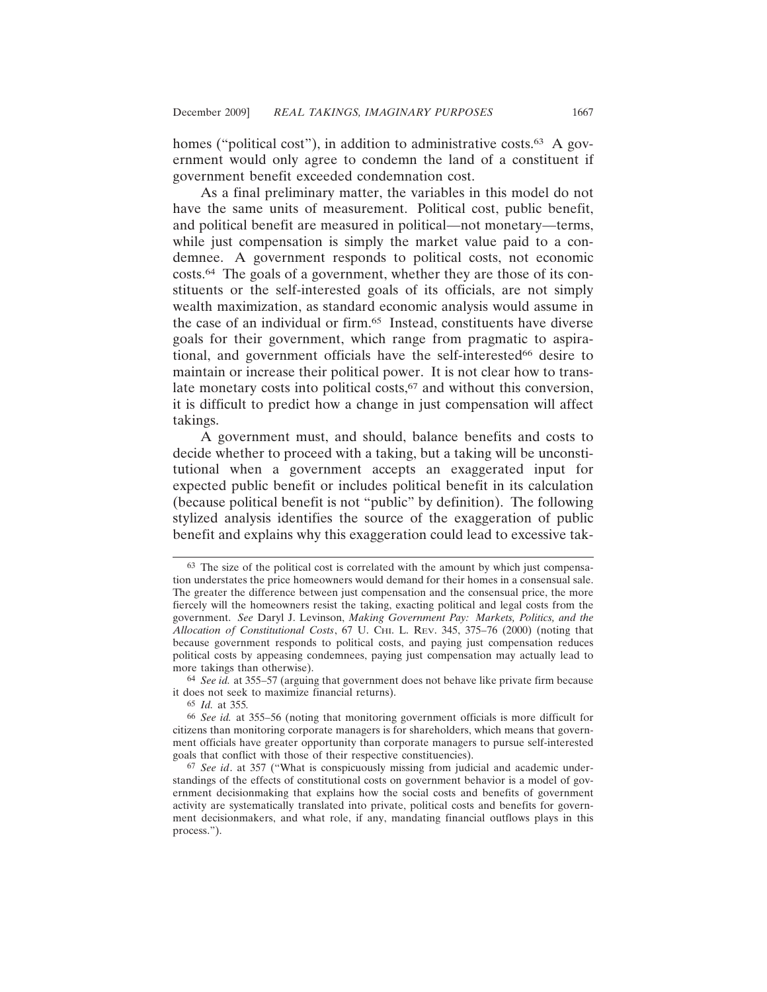homes ("political cost"), in addition to administrative costs.<sup>63</sup> A government would only agree to condemn the land of a constituent if government benefit exceeded condemnation cost.

As a final preliminary matter, the variables in this model do not have the same units of measurement. Political cost, public benefit, and political benefit are measured in political—not monetary—terms, while just compensation is simply the market value paid to a condemnee. A government responds to political costs, not economic costs.64 The goals of a government, whether they are those of its constituents or the self-interested goals of its officials, are not simply wealth maximization, as standard economic analysis would assume in the case of an individual or firm.65 Instead, constituents have diverse goals for their government, which range from pragmatic to aspirational, and government officials have the self-interested<sup>66</sup> desire to maintain or increase their political power. It is not clear how to translate monetary costs into political costs,<sup>67</sup> and without this conversion, it is difficult to predict how a change in just compensation will affect takings.

A government must, and should, balance benefits and costs to decide whether to proceed with a taking, but a taking will be unconstitutional when a government accepts an exaggerated input for expected public benefit or includes political benefit in its calculation (because political benefit is not "public" by definition). The following stylized analysis identifies the source of the exaggeration of public benefit and explains why this exaggeration could lead to excessive tak-

64 *See id.* at 355–57 (arguing that government does not behave like private firm because it does not seek to maximize financial returns).

<sup>63</sup> The size of the political cost is correlated with the amount by which just compensation understates the price homeowners would demand for their homes in a consensual sale. The greater the difference between just compensation and the consensual price, the more fiercely will the homeowners resist the taking, exacting political and legal costs from the government. *See* Daryl J. Levinson, *Making Government Pay: Markets, Politics, and the Allocation of Constitutional Costs*, 67 U. CHI. L. REV. 345, 375–76 (2000) (noting that because government responds to political costs, and paying just compensation reduces political costs by appeasing condemnees, paying just compensation may actually lead to more takings than otherwise).

<sup>65</sup> *Id.* at 355*.*

<sup>66</sup> *See id.* at 355–56 (noting that monitoring government officials is more difficult for citizens than monitoring corporate managers is for shareholders, which means that government officials have greater opportunity than corporate managers to pursue self-interested goals that conflict with those of their respective constituencies).

<sup>67</sup> *See id*. at 357 ("What is conspicuously missing from judicial and academic understandings of the effects of constitutional costs on government behavior is a model of government decisionmaking that explains how the social costs and benefits of government activity are systematically translated into private, political costs and benefits for government decisionmakers, and what role, if any, mandating financial outflows plays in this process.").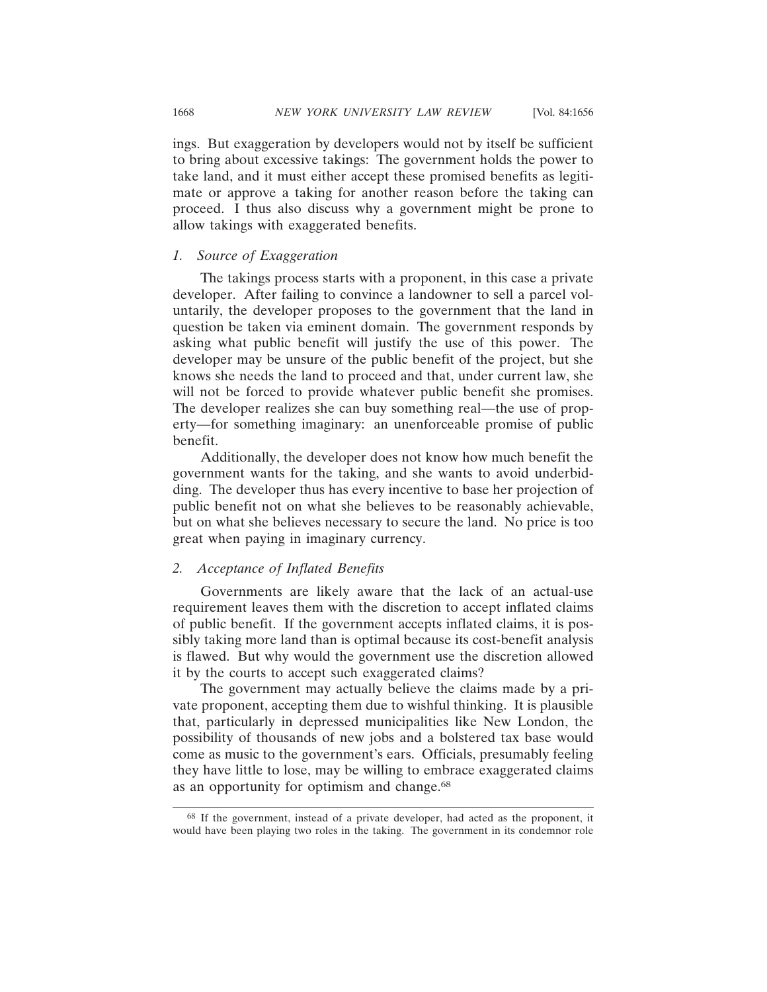ings. But exaggeration by developers would not by itself be sufficient to bring about excessive takings: The government holds the power to take land, and it must either accept these promised benefits as legitimate or approve a taking for another reason before the taking can proceed. I thus also discuss why a government might be prone to allow takings with exaggerated benefits.

# *1. Source of Exaggeration*

The takings process starts with a proponent, in this case a private developer. After failing to convince a landowner to sell a parcel voluntarily, the developer proposes to the government that the land in question be taken via eminent domain. The government responds by asking what public benefit will justify the use of this power. The developer may be unsure of the public benefit of the project, but she knows she needs the land to proceed and that, under current law, she will not be forced to provide whatever public benefit she promises. The developer realizes she can buy something real—the use of property—for something imaginary: an unenforceable promise of public benefit.

Additionally, the developer does not know how much benefit the government wants for the taking, and she wants to avoid underbidding. The developer thus has every incentive to base her projection of public benefit not on what she believes to be reasonably achievable, but on what she believes necessary to secure the land. No price is too great when paying in imaginary currency.

#### *2. Acceptance of Inflated Benefits*

Governments are likely aware that the lack of an actual-use requirement leaves them with the discretion to accept inflated claims of public benefit. If the government accepts inflated claims, it is possibly taking more land than is optimal because its cost-benefit analysis is flawed. But why would the government use the discretion allowed it by the courts to accept such exaggerated claims?

The government may actually believe the claims made by a private proponent, accepting them due to wishful thinking. It is plausible that, particularly in depressed municipalities like New London, the possibility of thousands of new jobs and a bolstered tax base would come as music to the government's ears. Officials, presumably feeling they have little to lose, may be willing to embrace exaggerated claims as an opportunity for optimism and change.<sup>68</sup>

<sup>68</sup> If the government, instead of a private developer, had acted as the proponent, it would have been playing two roles in the taking. The government in its condemnor role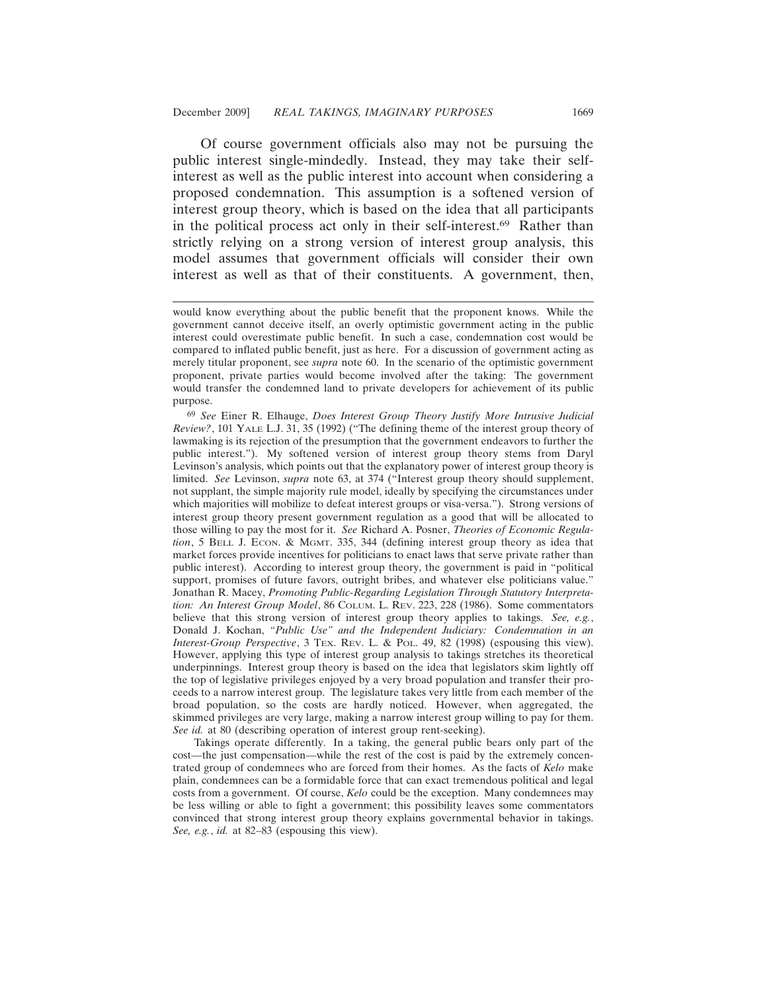Of course government officials also may not be pursuing the public interest single-mindedly. Instead, they may take their selfinterest as well as the public interest into account when considering a proposed condemnation. This assumption is a softened version of interest group theory, which is based on the idea that all participants in the political process act only in their self-interest.69 Rather than strictly relying on a strong version of interest group analysis, this model assumes that government officials will consider their own interest as well as that of their constituents. A government, then,

69 *See* Einer R. Elhauge, *Does Interest Group Theory Justify More Intrusive Judicial Review?*, 101 YALE L.J. 31, 35 (1992) ("The defining theme of the interest group theory of lawmaking is its rejection of the presumption that the government endeavors to further the public interest."). My softened version of interest group theory stems from Daryl Levinson's analysis, which points out that the explanatory power of interest group theory is limited. *See* Levinson, *supra* note 63, at 374 ("Interest group theory should supplement, not supplant, the simple majority rule model, ideally by specifying the circumstances under which majorities will mobilize to defeat interest groups or visa-versa."). Strong versions of interest group theory present government regulation as a good that will be allocated to those willing to pay the most for it. *See* Richard A. Posner, *Theories of Economic Regulation*, 5 BELL J. ECON. & MGMT. 335, 344 (defining interest group theory as idea that market forces provide incentives for politicians to enact laws that serve private rather than public interest). According to interest group theory, the government is paid in "political support, promises of future favors, outright bribes, and whatever else politicians value." Jonathan R. Macey, *Promoting Public-Regarding Legislation Through Statutory Interpretation: An Interest Group Model*, 86 COLUM. L. REV. 223, 228 (1986). Some commentators believe that this strong version of interest group theory applies to takings. *See, e.g.*, Donald J. Kochan, *"Public Use" and the Independent Judiciary: Condemnation in an Interest-Group Perspective*, 3 Tex. Rev. L. & Pol. 49, 82 (1998) (espousing this view). However, applying this type of interest group analysis to takings stretches its theoretical underpinnings. Interest group theory is based on the idea that legislators skim lightly off the top of legislative privileges enjoyed by a very broad population and transfer their proceeds to a narrow interest group. The legislature takes very little from each member of the broad population, so the costs are hardly noticed. However, when aggregated, the skimmed privileges are very large, making a narrow interest group willing to pay for them. *See id.* at 80 (describing operation of interest group rent-seeking).

Takings operate differently. In a taking, the general public bears only part of the cost—the just compensation—while the rest of the cost is paid by the extremely concentrated group of condemnees who are forced from their homes. As the facts of *Kelo* make plain, condemnees can be a formidable force that can exact tremendous political and legal costs from a government. Of course, *Kelo* could be the exception. Many condemnees may be less willing or able to fight a government; this possibility leaves some commentators convinced that strong interest group theory explains governmental behavior in takings. *See, e.g.*, *id.* at 82–83 (espousing this view).

would know everything about the public benefit that the proponent knows. While the government cannot deceive itself, an overly optimistic government acting in the public interest could overestimate public benefit. In such a case, condemnation cost would be compared to inflated public benefit, just as here. For a discussion of government acting as merely titular proponent, see *supra* note 60. In the scenario of the optimistic government proponent, private parties would become involved after the taking: The government would transfer the condemned land to private developers for achievement of its public purpose.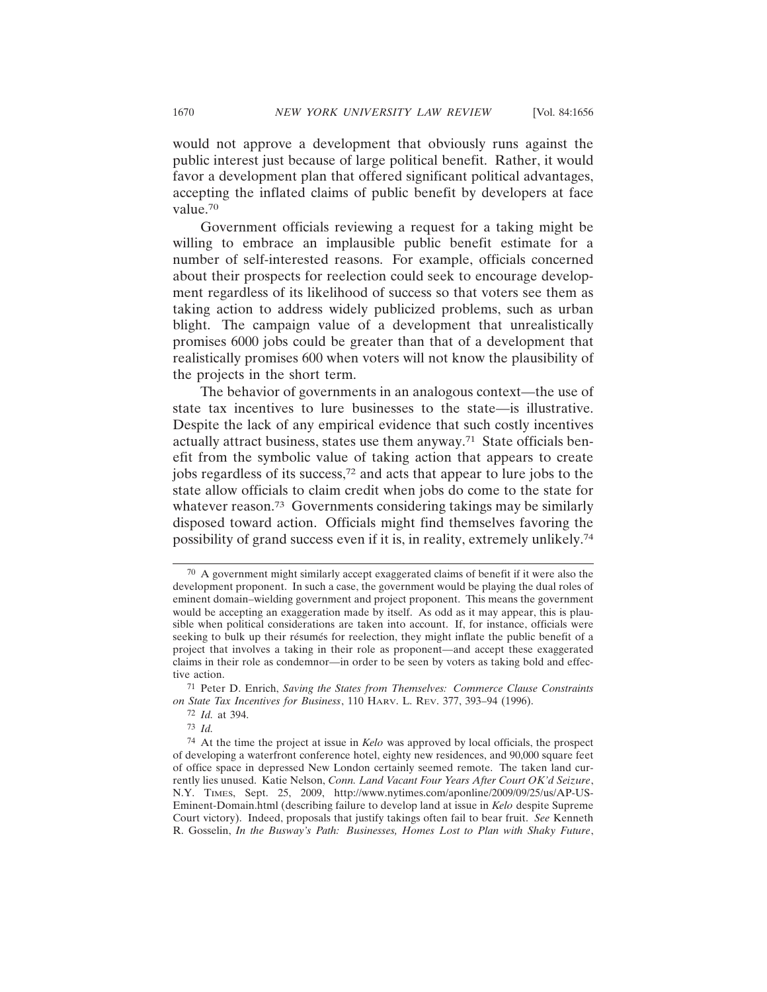would not approve a development that obviously runs against the public interest just because of large political benefit. Rather, it would favor a development plan that offered significant political advantages, accepting the inflated claims of public benefit by developers at face value.70

Government officials reviewing a request for a taking might be willing to embrace an implausible public benefit estimate for a number of self-interested reasons. For example, officials concerned about their prospects for reelection could seek to encourage development regardless of its likelihood of success so that voters see them as taking action to address widely publicized problems, such as urban blight. The campaign value of a development that unrealistically promises 6000 jobs could be greater than that of a development that realistically promises 600 when voters will not know the plausibility of the projects in the short term.

The behavior of governments in an analogous context—the use of state tax incentives to lure businesses to the state—is illustrative. Despite the lack of any empirical evidence that such costly incentives actually attract business, states use them anyway.71 State officials benefit from the symbolic value of taking action that appears to create jobs regardless of its success,72 and acts that appear to lure jobs to the state allow officials to claim credit when jobs do come to the state for whatever reason.<sup>73</sup> Governments considering takings may be similarly disposed toward action. Officials might find themselves favoring the possibility of grand success even if it is, in reality, extremely unlikely.74

<sup>70</sup> A government might similarly accept exaggerated claims of benefit if it were also the development proponent. In such a case, the government would be playing the dual roles of eminent domain–wielding government and project proponent. This means the government would be accepting an exaggeration made by itself. As odd as it may appear, this is plausible when political considerations are taken into account. If, for instance, officials were seeking to bulk up their résumés for reelection, they might inflate the public benefit of a project that involves a taking in their role as proponent—and accept these exaggerated claims in their role as condemnor—in order to be seen by voters as taking bold and effective action.

<sup>71</sup> Peter D. Enrich, *Saving the States from Themselves: Commerce Clause Constraints on State Tax Incentives for Business*, 110 HARV. L. REV. 377, 393–94 (1996).

<sup>72</sup> *Id.* at 394.

<sup>73</sup> *Id.*

<sup>74</sup> At the time the project at issue in *Kelo* was approved by local officials, the prospect of developing a waterfront conference hotel, eighty new residences, and 90,000 square feet of office space in depressed New London certainly seemed remote. The taken land currently lies unused. Katie Nelson, *Conn. Land Vacant Four Years After Court OK'd Seizure*, N.Y. TIMES, Sept. 25, 2009, http://www.nytimes.com/aponline/2009/09/25/us/AP-US-Eminent-Domain.html (describing failure to develop land at issue in *Kelo* despite Supreme Court victory). Indeed, proposals that justify takings often fail to bear fruit. *See* Kenneth R. Gosselin, *In the Busway's Path: Businesses, Homes Lost to Plan with Shaky Future*,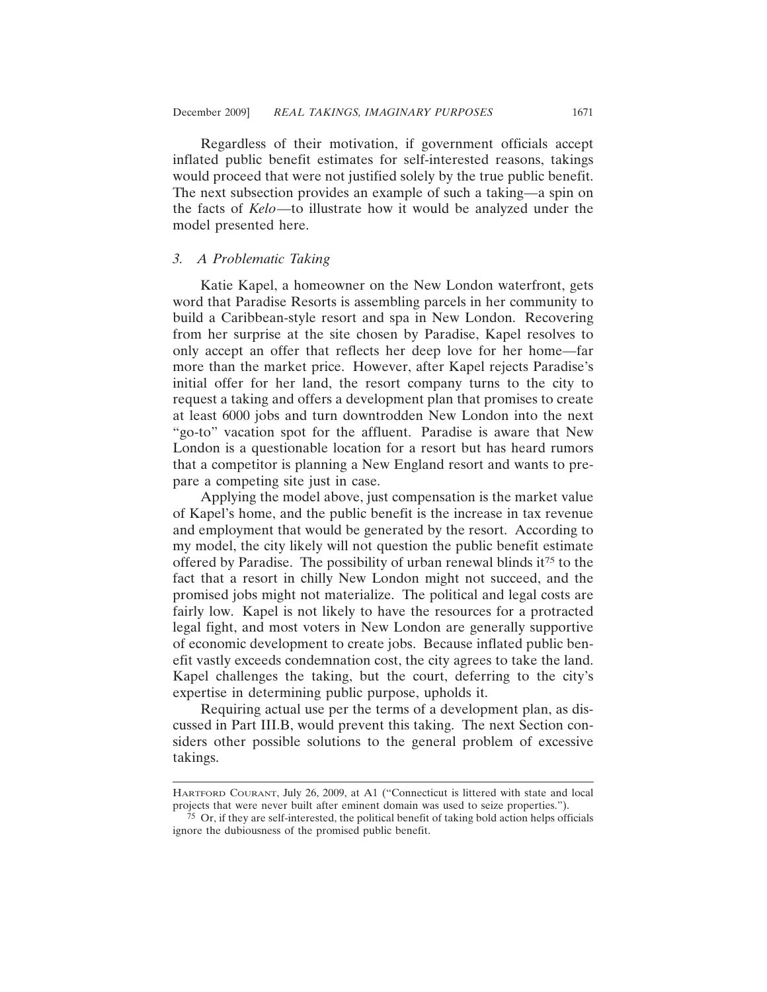Regardless of their motivation, if government officials accept inflated public benefit estimates for self-interested reasons, takings would proceed that were not justified solely by the true public benefit. The next subsection provides an example of such a taking—a spin on the facts of *Kelo*—to illustrate how it would be analyzed under the model presented here.

#### *3. A Problematic Taking*

Katie Kapel, a homeowner on the New London waterfront, gets word that Paradise Resorts is assembling parcels in her community to build a Caribbean-style resort and spa in New London. Recovering from her surprise at the site chosen by Paradise, Kapel resolves to only accept an offer that reflects her deep love for her home—far more than the market price. However, after Kapel rejects Paradise's initial offer for her land, the resort company turns to the city to request a taking and offers a development plan that promises to create at least 6000 jobs and turn downtrodden New London into the next "go-to" vacation spot for the affluent. Paradise is aware that New London is a questionable location for a resort but has heard rumors that a competitor is planning a New England resort and wants to prepare a competing site just in case.

Applying the model above, just compensation is the market value of Kapel's home, and the public benefit is the increase in tax revenue and employment that would be generated by the resort. According to my model, the city likely will not question the public benefit estimate offered by Paradise. The possibility of urban renewal blinds it<sup>75</sup> to the fact that a resort in chilly New London might not succeed, and the promised jobs might not materialize. The political and legal costs are fairly low. Kapel is not likely to have the resources for a protracted legal fight, and most voters in New London are generally supportive of economic development to create jobs. Because inflated public benefit vastly exceeds condemnation cost, the city agrees to take the land. Kapel challenges the taking, but the court, deferring to the city's expertise in determining public purpose, upholds it.

Requiring actual use per the terms of a development plan, as discussed in Part III.B, would prevent this taking. The next Section considers other possible solutions to the general problem of excessive takings.

HARTFORD COURANT, July 26, 2009, at A1 ("Connecticut is littered with state and local projects that were never built after eminent domain was used to seize properties.").

<sup>75</sup> Or, if they are self-interested, the political benefit of taking bold action helps officials ignore the dubiousness of the promised public benefit.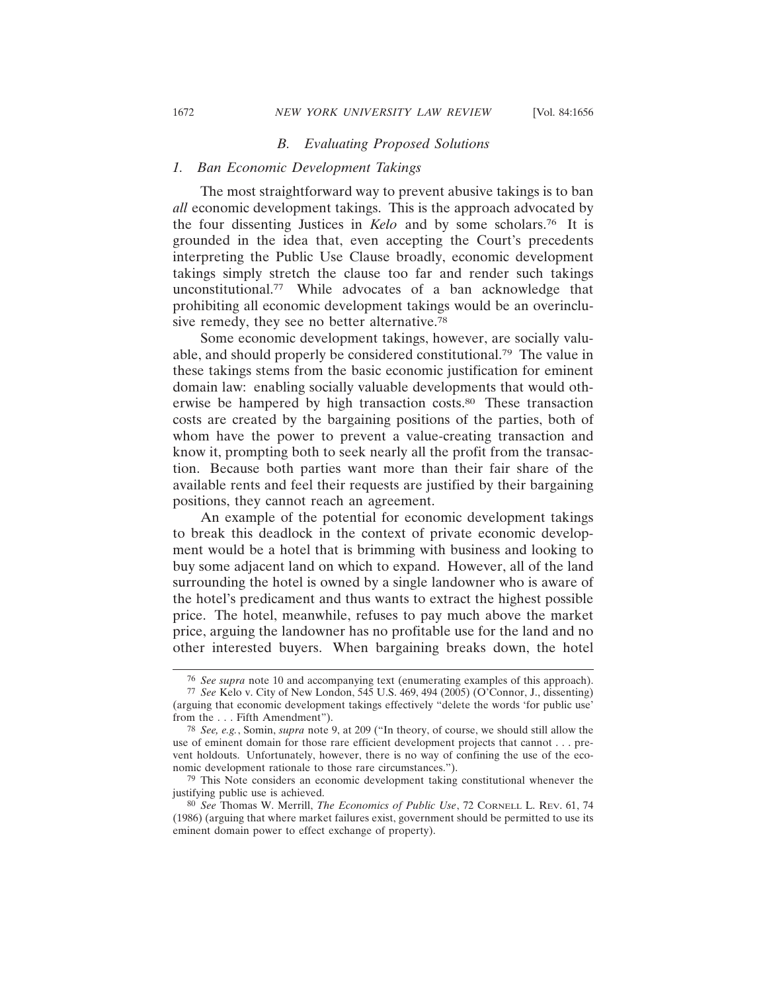#### *B. Evaluating Proposed Solutions*

# *1. Ban Economic Development Takings*

The most straightforward way to prevent abusive takings is to ban *all* economic development takings. This is the approach advocated by the four dissenting Justices in *Kelo* and by some scholars.76 It is grounded in the idea that, even accepting the Court's precedents interpreting the Public Use Clause broadly, economic development takings simply stretch the clause too far and render such takings unconstitutional.77 While advocates of a ban acknowledge that prohibiting all economic development takings would be an overinclusive remedy, they see no better alternative.<sup>78</sup>

Some economic development takings, however, are socially valuable, and should properly be considered constitutional.79 The value in these takings stems from the basic economic justification for eminent domain law: enabling socially valuable developments that would otherwise be hampered by high transaction costs.80 These transaction costs are created by the bargaining positions of the parties, both of whom have the power to prevent a value-creating transaction and know it, prompting both to seek nearly all the profit from the transaction. Because both parties want more than their fair share of the available rents and feel their requests are justified by their bargaining positions, they cannot reach an agreement.

An example of the potential for economic development takings to break this deadlock in the context of private economic development would be a hotel that is brimming with business and looking to buy some adjacent land on which to expand. However, all of the land surrounding the hotel is owned by a single landowner who is aware of the hotel's predicament and thus wants to extract the highest possible price. The hotel, meanwhile, refuses to pay much above the market price, arguing the landowner has no profitable use for the land and no other interested buyers. When bargaining breaks down, the hotel

<sup>76</sup> *See supra* note 10 and accompanying text (enumerating examples of this approach).

<sup>77</sup> *See* Kelo v. City of New London, 545 U.S. 469, 494 (2005) (O'Connor, J., dissenting) (arguing that economic development takings effectively "delete the words 'for public use' from the . . . Fifth Amendment").

<sup>78</sup> *See, e.g.*, Somin, *supra* note 9, at 209 ("In theory, of course, we should still allow the use of eminent domain for those rare efficient development projects that cannot . . . prevent holdouts. Unfortunately, however, there is no way of confining the use of the economic development rationale to those rare circumstances.").

<sup>79</sup> This Note considers an economic development taking constitutional whenever the justifying public use is achieved.

<sup>80</sup> *See* Thomas W. Merrill, *The Economics of Public Use*, 72 CORNELL L. REV. 61, 74 (1986) (arguing that where market failures exist, government should be permitted to use its eminent domain power to effect exchange of property).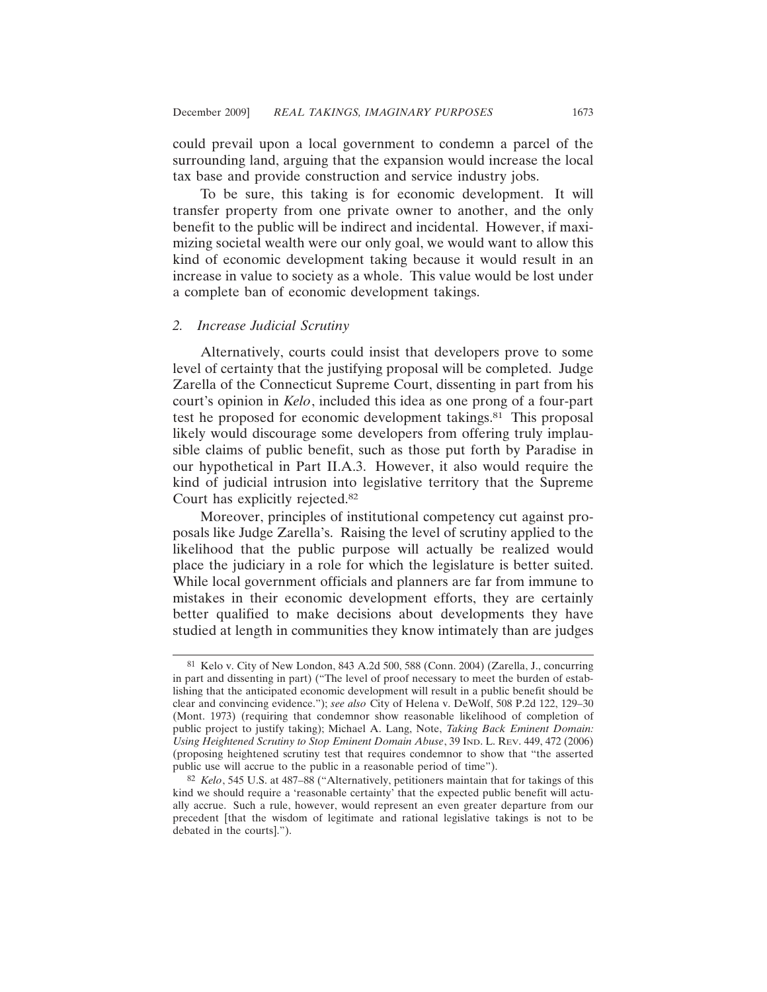could prevail upon a local government to condemn a parcel of the surrounding land, arguing that the expansion would increase the local tax base and provide construction and service industry jobs.

To be sure, this taking is for economic development. It will transfer property from one private owner to another, and the only benefit to the public will be indirect and incidental. However, if maximizing societal wealth were our only goal, we would want to allow this kind of economic development taking because it would result in an increase in value to society as a whole. This value would be lost under a complete ban of economic development takings.

#### *2. Increase Judicial Scrutiny*

Alternatively, courts could insist that developers prove to some level of certainty that the justifying proposal will be completed. Judge Zarella of the Connecticut Supreme Court, dissenting in part from his court's opinion in *Kelo*, included this idea as one prong of a four-part test he proposed for economic development takings.81 This proposal likely would discourage some developers from offering truly implausible claims of public benefit, such as those put forth by Paradise in our hypothetical in Part II.A.3. However, it also would require the kind of judicial intrusion into legislative territory that the Supreme Court has explicitly rejected.82

Moreover, principles of institutional competency cut against proposals like Judge Zarella's. Raising the level of scrutiny applied to the likelihood that the public purpose will actually be realized would place the judiciary in a role for which the legislature is better suited. While local government officials and planners are far from immune to mistakes in their economic development efforts, they are certainly better qualified to make decisions about developments they have studied at length in communities they know intimately than are judges

<sup>81</sup> Kelo v. City of New London, 843 A.2d 500, 588 (Conn. 2004) (Zarella, J., concurring in part and dissenting in part) ("The level of proof necessary to meet the burden of establishing that the anticipated economic development will result in a public benefit should be clear and convincing evidence."); *see also* City of Helena v. DeWolf, 508 P.2d 122, 129–30 (Mont. 1973) (requiring that condemnor show reasonable likelihood of completion of public project to justify taking); Michael A. Lang, Note, *Taking Back Eminent Domain: Using Heightened Scrutiny to Stop Eminent Domain Abuse*, 39 IND. L. REV. 449, 472 (2006) (proposing heightened scrutiny test that requires condemnor to show that "the asserted public use will accrue to the public in a reasonable period of time").

<sup>82</sup> *Kelo*, 545 U.S. at 487–88 ("Alternatively, petitioners maintain that for takings of this kind we should require a 'reasonable certainty' that the expected public benefit will actually accrue. Such a rule, however, would represent an even greater departure from our precedent [that the wisdom of legitimate and rational legislative takings is not to be debated in the courts].").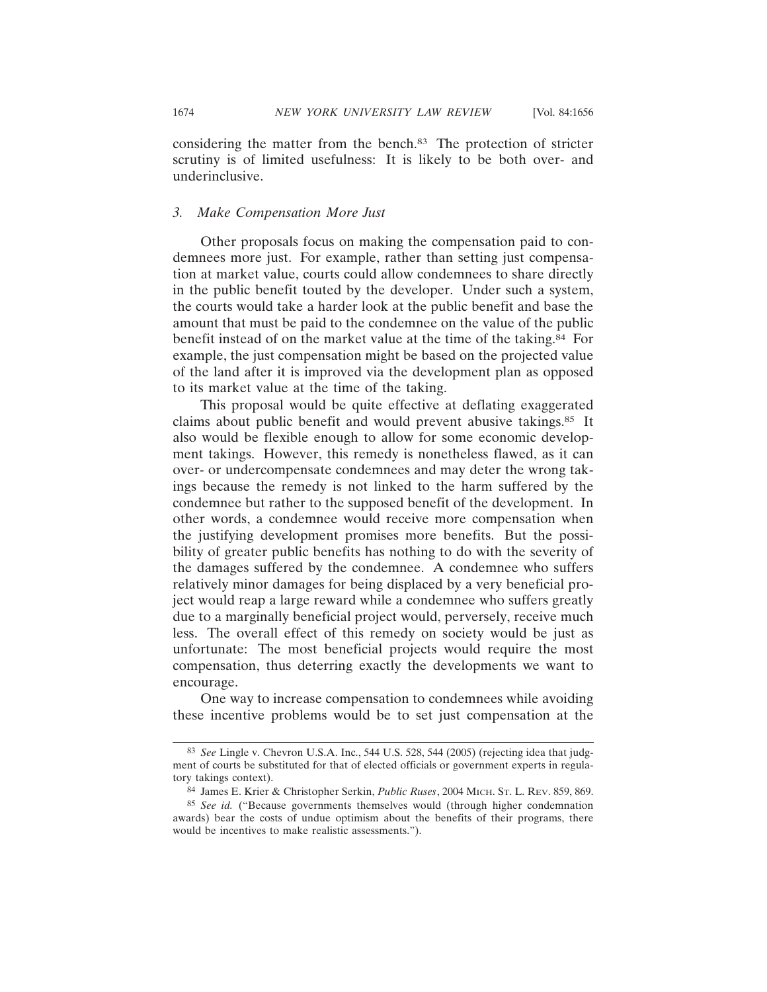considering the matter from the bench.83 The protection of stricter scrutiny is of limited usefulness: It is likely to be both over- and underinclusive.

# *3. Make Compensation More Just*

Other proposals focus on making the compensation paid to condemnees more just. For example, rather than setting just compensation at market value, courts could allow condemnees to share directly in the public benefit touted by the developer. Under such a system, the courts would take a harder look at the public benefit and base the amount that must be paid to the condemnee on the value of the public benefit instead of on the market value at the time of the taking.84 For example, the just compensation might be based on the projected value of the land after it is improved via the development plan as opposed to its market value at the time of the taking.

This proposal would be quite effective at deflating exaggerated claims about public benefit and would prevent abusive takings.85 It also would be flexible enough to allow for some economic development takings. However, this remedy is nonetheless flawed, as it can over- or undercompensate condemnees and may deter the wrong takings because the remedy is not linked to the harm suffered by the condemnee but rather to the supposed benefit of the development. In other words, a condemnee would receive more compensation when the justifying development promises more benefits. But the possibility of greater public benefits has nothing to do with the severity of the damages suffered by the condemnee. A condemnee who suffers relatively minor damages for being displaced by a very beneficial project would reap a large reward while a condemnee who suffers greatly due to a marginally beneficial project would, perversely, receive much less. The overall effect of this remedy on society would be just as unfortunate: The most beneficial projects would require the most compensation, thus deterring exactly the developments we want to encourage.

One way to increase compensation to condemnees while avoiding these incentive problems would be to set just compensation at the

<sup>83</sup> *See* Lingle v. Chevron U.S.A. Inc., 544 U.S. 528, 544 (2005) (rejecting idea that judgment of courts be substituted for that of elected officials or government experts in regulatory takings context).

<sup>84</sup> James E. Krier & Christopher Serkin, *Public Ruses*, 2004 MICH. ST. L. REV. 859, 869.

<sup>85</sup> *See id.* ("Because governments themselves would (through higher condemnation awards) bear the costs of undue optimism about the benefits of their programs, there would be incentives to make realistic assessments.").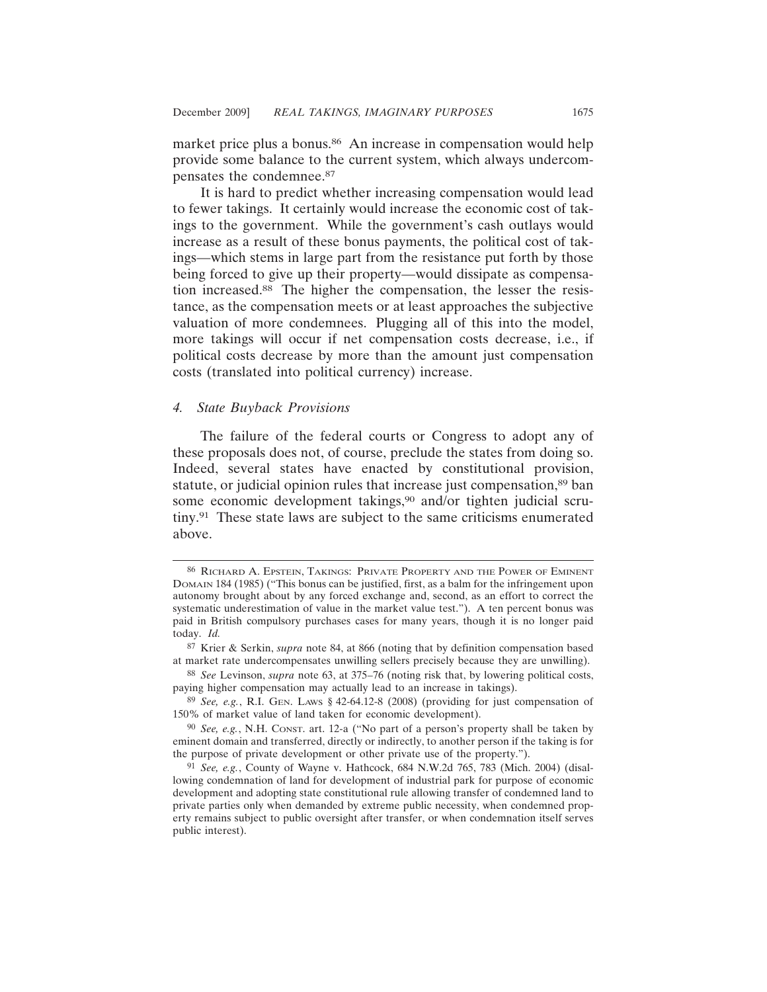market price plus a bonus.<sup>86</sup> An increase in compensation would help provide some balance to the current system, which always undercompensates the condemnee.87

It is hard to predict whether increasing compensation would lead to fewer takings. It certainly would increase the economic cost of takings to the government. While the government's cash outlays would increase as a result of these bonus payments, the political cost of takings—which stems in large part from the resistance put forth by those being forced to give up their property—would dissipate as compensation increased.88 The higher the compensation, the lesser the resistance, as the compensation meets or at least approaches the subjective valuation of more condemnees. Plugging all of this into the model, more takings will occur if net compensation costs decrease, i.e., if political costs decrease by more than the amount just compensation costs (translated into political currency) increase.

### *4. State Buyback Provisions*

The failure of the federal courts or Congress to adopt any of these proposals does not, of course, preclude the states from doing so. Indeed, several states have enacted by constitutional provision, statute, or judicial opinion rules that increase just compensation,<sup>89</sup> ban some economic development takings,<sup>90</sup> and/or tighten judicial scrutiny.91 These state laws are subject to the same criticisms enumerated above.

88 *See* Levinson, *supra* note 63, at 375–76 (noting risk that, by lowering political costs, paying higher compensation may actually lead to an increase in takings).

<sup>86</sup> RICHARD A. EPSTEIN, TAKINGS: PRIVATE PROPERTY AND THE POWER OF EMINENT DOMAIN 184 (1985) ("This bonus can be justified, first, as a balm for the infringement upon autonomy brought about by any forced exchange and, second, as an effort to correct the systematic underestimation of value in the market value test."). A ten percent bonus was paid in British compulsory purchases cases for many years, though it is no longer paid today. *Id.*

<sup>87</sup> Krier & Serkin, *supra* note 84, at 866 (noting that by definition compensation based at market rate undercompensates unwilling sellers precisely because they are unwilling).

<sup>89</sup> *See, e.g.*, R.I. GEN. LAWS § 42-64.12-8 (2008) (providing for just compensation of 150% of market value of land taken for economic development).

<sup>90</sup> *See, e.g.*, N.H. CONST. art. 12-a ("No part of a person's property shall be taken by eminent domain and transferred, directly or indirectly, to another person if the taking is for the purpose of private development or other private use of the property.").

<sup>91</sup> *See, e.g.*, County of Wayne v. Hathcock, 684 N.W.2d 765, 783 (Mich. 2004) (disallowing condemnation of land for development of industrial park for purpose of economic development and adopting state constitutional rule allowing transfer of condemned land to private parties only when demanded by extreme public necessity, when condemned property remains subject to public oversight after transfer, or when condemnation itself serves public interest).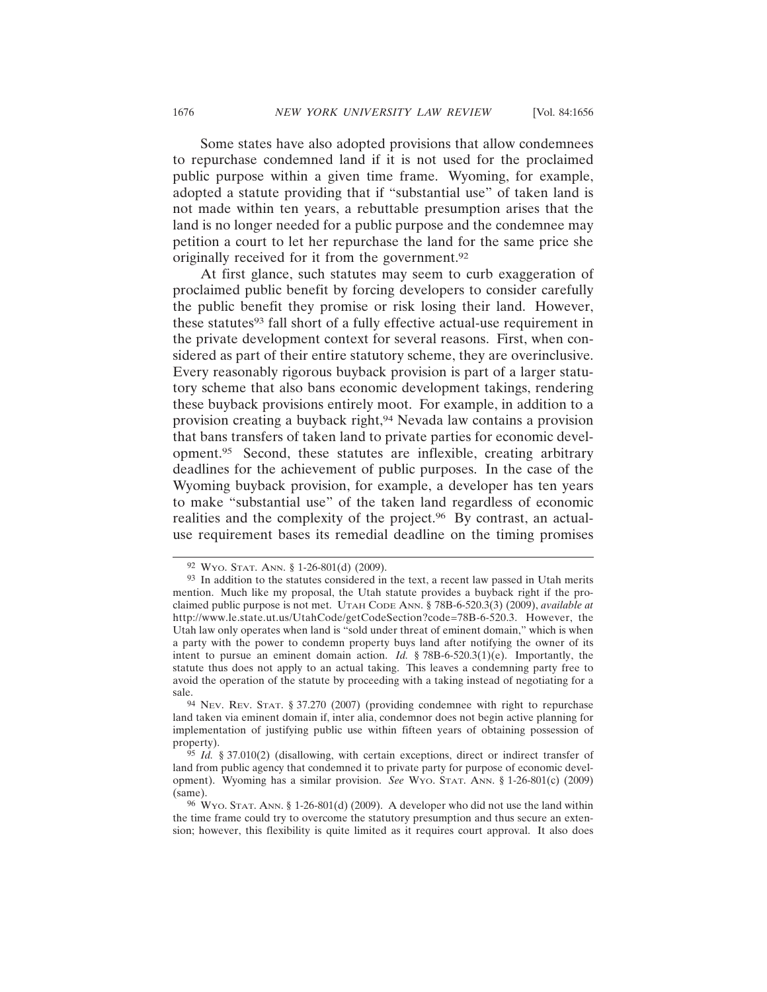Some states have also adopted provisions that allow condemnees to repurchase condemned land if it is not used for the proclaimed public purpose within a given time frame. Wyoming, for example, adopted a statute providing that if "substantial use" of taken land is not made within ten years, a rebuttable presumption arises that the land is no longer needed for a public purpose and the condemnee may petition a court to let her repurchase the land for the same price she originally received for it from the government.92

At first glance, such statutes may seem to curb exaggeration of proclaimed public benefit by forcing developers to consider carefully the public benefit they promise or risk losing their land. However, these statutes<sup>93</sup> fall short of a fully effective actual-use requirement in the private development context for several reasons. First, when considered as part of their entire statutory scheme, they are overinclusive. Every reasonably rigorous buyback provision is part of a larger statutory scheme that also bans economic development takings, rendering these buyback provisions entirely moot. For example, in addition to a provision creating a buyback right,94 Nevada law contains a provision that bans transfers of taken land to private parties for economic development.95 Second, these statutes are inflexible, creating arbitrary deadlines for the achievement of public purposes. In the case of the Wyoming buyback provision, for example, a developer has ten years to make "substantial use" of the taken land regardless of economic realities and the complexity of the project.<sup>96</sup> By contrast, an actualuse requirement bases its remedial deadline on the timing promises

<sup>92</sup> WYO. STAT. ANN. § 1-26-801(d) (2009).

<sup>&</sup>lt;sup>93</sup> In addition to the statutes considered in the text, a recent law passed in Utah merits mention. Much like my proposal, the Utah statute provides a buyback right if the proclaimed public purpose is not met. UTAH CODE ANN. § 78B-6-520.3(3) (2009), *available at* http://www.le.state.ut.us/UtahCode/getCodeSection?code=78B-6-520.3. However, the Utah law only operates when land is "sold under threat of eminent domain," which is when a party with the power to condemn property buys land after notifying the owner of its intent to pursue an eminent domain action. *Id.* § 78B-6-520.3(1)(e). Importantly, the statute thus does not apply to an actual taking. This leaves a condemning party free to avoid the operation of the statute by proceeding with a taking instead of negotiating for a sale.

<sup>94</sup> NEV. REV. STAT. § 37.270 (2007) (providing condemnee with right to repurchase land taken via eminent domain if, inter alia, condemnor does not begin active planning for implementation of justifying public use within fifteen years of obtaining possession of property).

<sup>95</sup> *Id.* § 37.010(2) (disallowing, with certain exceptions, direct or indirect transfer of land from public agency that condemned it to private party for purpose of economic development). Wyoming has a similar provision. *See* WYO. STAT. ANN. § 1-26-801(c) (2009) (same).

<sup>96</sup> WYO. STAT. ANN. § 1-26-801(d) (2009). A developer who did not use the land within the time frame could try to overcome the statutory presumption and thus secure an extension; however, this flexibility is quite limited as it requires court approval. It also does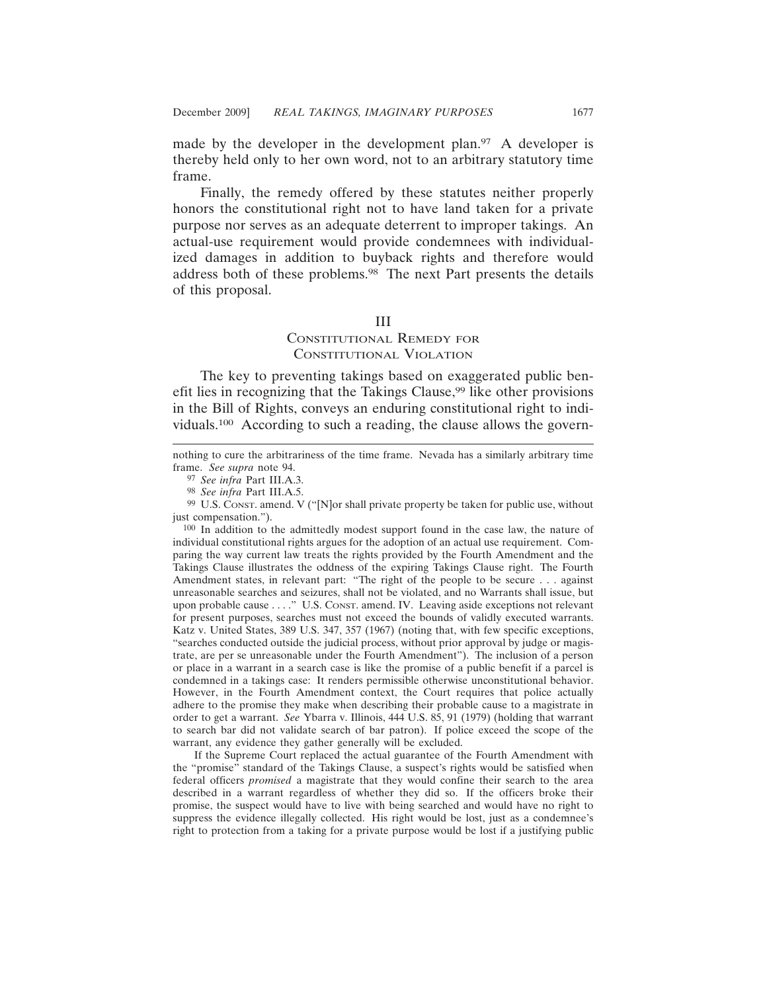made by the developer in the development plan.<sup>97</sup> A developer is thereby held only to her own word, not to an arbitrary statutory time frame.

Finally, the remedy offered by these statutes neither properly honors the constitutional right not to have land taken for a private purpose nor serves as an adequate deterrent to improper takings. An actual-use requirement would provide condemnees with individualized damages in addition to buyback rights and therefore would address both of these problems.98 The next Part presents the details of this proposal.

### III

# CONSTITUTIONAL REMEDY FOR CONSTITUTIONAL VIOLATION

The key to preventing takings based on exaggerated public benefit lies in recognizing that the Takings Clause,<sup>99</sup> like other provisions in the Bill of Rights, conveys an enduring constitutional right to individuals.100 According to such a reading, the clause allows the govern-

100 In addition to the admittedly modest support found in the case law, the nature of individual constitutional rights argues for the adoption of an actual use requirement. Comparing the way current law treats the rights provided by the Fourth Amendment and the Takings Clause illustrates the oddness of the expiring Takings Clause right. The Fourth Amendment states, in relevant part: "The right of the people to be secure . . . against unreasonable searches and seizures, shall not be violated, and no Warrants shall issue, but upon probable cause . . . ." U.S. CONST. amend. IV. Leaving aside exceptions not relevant for present purposes, searches must not exceed the bounds of validly executed warrants. Katz v. United States, 389 U.S. 347, 357 (1967) (noting that, with few specific exceptions, "searches conducted outside the judicial process, without prior approval by judge or magistrate, are per se unreasonable under the Fourth Amendment"). The inclusion of a person or place in a warrant in a search case is like the promise of a public benefit if a parcel is condemned in a takings case: It renders permissible otherwise unconstitutional behavior. However, in the Fourth Amendment context, the Court requires that police actually adhere to the promise they make when describing their probable cause to a magistrate in order to get a warrant. *See* Ybarra v. Illinois, 444 U.S. 85, 91 (1979) (holding that warrant to search bar did not validate search of bar patron). If police exceed the scope of the warrant, any evidence they gather generally will be excluded.

If the Supreme Court replaced the actual guarantee of the Fourth Amendment with the "promise" standard of the Takings Clause, a suspect's rights would be satisfied when federal officers *promised* a magistrate that they would confine their search to the area described in a warrant regardless of whether they did so. If the officers broke their promise, the suspect would have to live with being searched and would have no right to suppress the evidence illegally collected. His right would be lost, just as a condemnee's right to protection from a taking for a private purpose would be lost if a justifying public

nothing to cure the arbitrariness of the time frame. Nevada has a similarly arbitrary time frame. *See supra* note 94.

<sup>97</sup> *See infra* Part III.A.3.

<sup>98</sup> *See infra* Part III.A.5.

<sup>99</sup> U.S. CONST. amend. V ("[N]or shall private property be taken for public use, without just compensation.").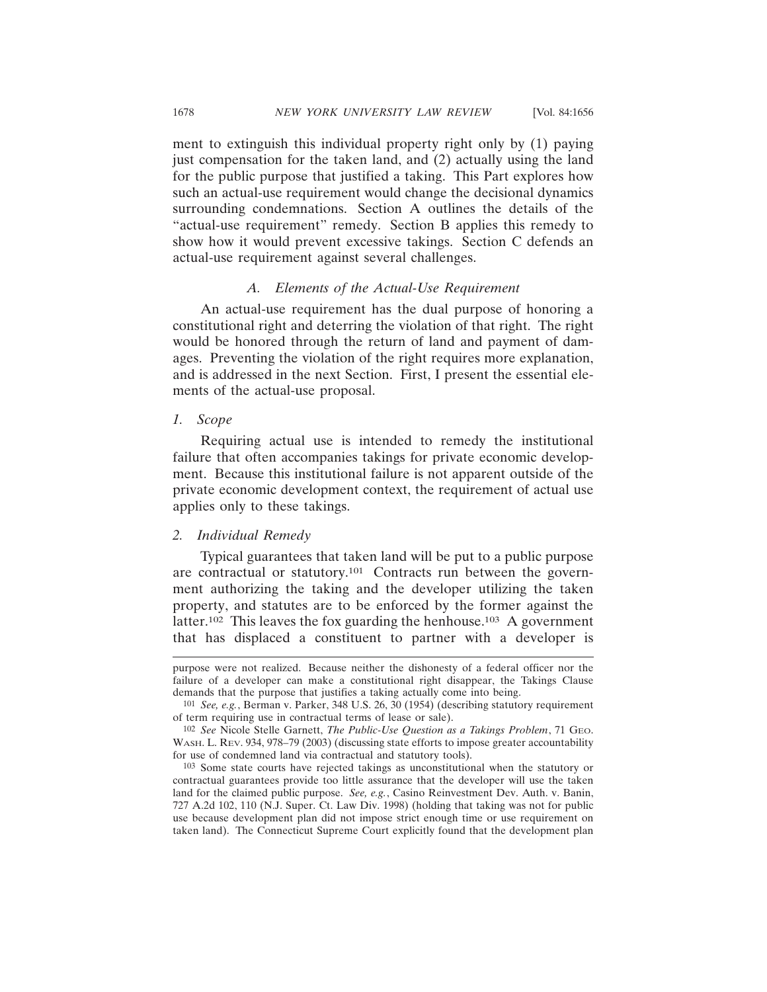ment to extinguish this individual property right only by (1) paying just compensation for the taken land, and (2) actually using the land for the public purpose that justified a taking. This Part explores how such an actual-use requirement would change the decisional dynamics surrounding condemnations. Section A outlines the details of the "actual-use requirement" remedy. Section B applies this remedy to show how it would prevent excessive takings. Section C defends an actual-use requirement against several challenges.

#### *A. Elements of the Actual-Use Requirement*

An actual-use requirement has the dual purpose of honoring a constitutional right and deterring the violation of that right. The right would be honored through the return of land and payment of damages. Preventing the violation of the right requires more explanation, and is addressed in the next Section. First, I present the essential elements of the actual-use proposal.

#### *1. Scope*

Requiring actual use is intended to remedy the institutional failure that often accompanies takings for private economic development. Because this institutional failure is not apparent outside of the private economic development context, the requirement of actual use applies only to these takings.

#### *2. Individual Remedy*

Typical guarantees that taken land will be put to a public purpose are contractual or statutory.101 Contracts run between the government authorizing the taking and the developer utilizing the taken property, and statutes are to be enforced by the former against the latter.<sup>102</sup> This leaves the fox guarding the henhouse.<sup>103</sup> A government that has displaced a constituent to partner with a developer is

purpose were not realized. Because neither the dishonesty of a federal officer nor the failure of a developer can make a constitutional right disappear, the Takings Clause demands that the purpose that justifies a taking actually come into being.

<sup>101</sup> *See, e.g.*, Berman v. Parker, 348 U.S. 26, 30 (1954) (describing statutory requirement of term requiring use in contractual terms of lease or sale).

<sup>102</sup> *See* Nicole Stelle Garnett, *The Public-Use Question as a Takings Problem*, 71 GEO. WASH. L. REV. 934, 978–79 (2003) (discussing state efforts to impose greater accountability for use of condemned land via contractual and statutory tools).

<sup>103</sup> Some state courts have rejected takings as unconstitutional when the statutory or contractual guarantees provide too little assurance that the developer will use the taken land for the claimed public purpose. *See, e.g.*, Casino Reinvestment Dev. Auth. v. Banin, 727 A.2d 102, 110 (N.J. Super. Ct. Law Div. 1998) (holding that taking was not for public use because development plan did not impose strict enough time or use requirement on taken land). The Connecticut Supreme Court explicitly found that the development plan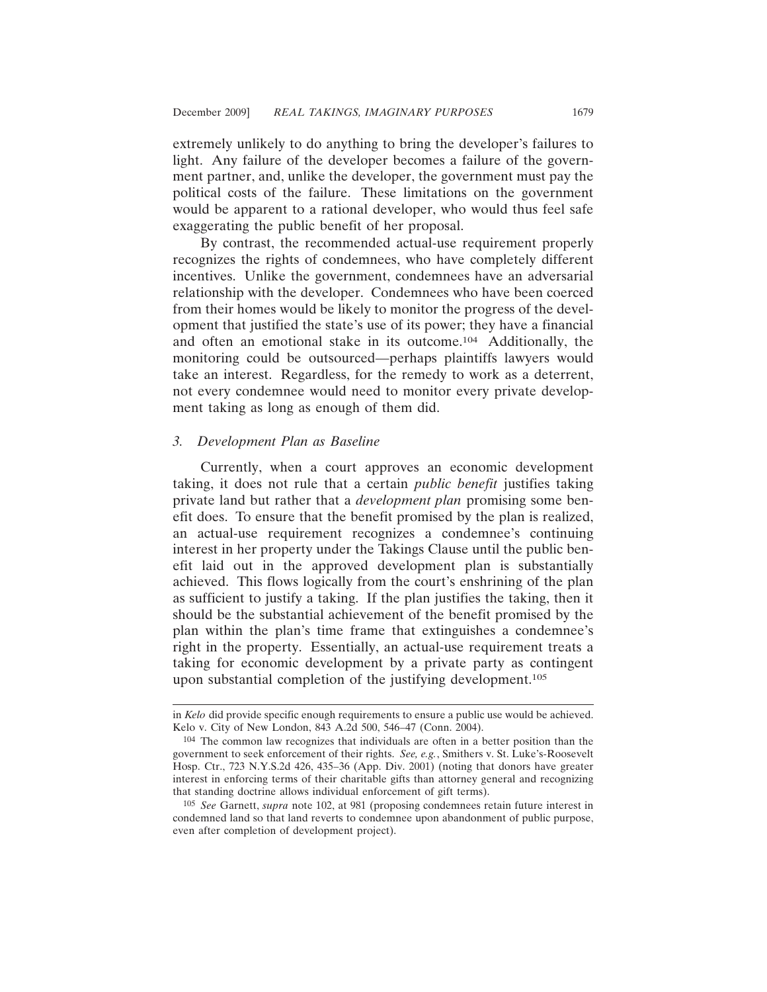extremely unlikely to do anything to bring the developer's failures to light. Any failure of the developer becomes a failure of the government partner, and, unlike the developer, the government must pay the political costs of the failure. These limitations on the government would be apparent to a rational developer, who would thus feel safe exaggerating the public benefit of her proposal.

By contrast, the recommended actual-use requirement properly recognizes the rights of condemnees, who have completely different incentives. Unlike the government, condemnees have an adversarial relationship with the developer. Condemnees who have been coerced from their homes would be likely to monitor the progress of the development that justified the state's use of its power; they have a financial and often an emotional stake in its outcome.104 Additionally, the monitoring could be outsourced—perhaps plaintiffs lawyers would take an interest. Regardless, for the remedy to work as a deterrent, not every condemnee would need to monitor every private development taking as long as enough of them did.

## *3. Development Plan as Baseline*

Currently, when a court approves an economic development taking, it does not rule that a certain *public benefit* justifies taking private land but rather that a *development plan* promising some benefit does. To ensure that the benefit promised by the plan is realized, an actual-use requirement recognizes a condemnee's continuing interest in her property under the Takings Clause until the public benefit laid out in the approved development plan is substantially achieved. This flows logically from the court's enshrining of the plan as sufficient to justify a taking. If the plan justifies the taking, then it should be the substantial achievement of the benefit promised by the plan within the plan's time frame that extinguishes a condemnee's right in the property. Essentially, an actual-use requirement treats a taking for economic development by a private party as contingent upon substantial completion of the justifying development.105

in *Kelo* did provide specific enough requirements to ensure a public use would be achieved. Kelo v. City of New London, 843 A.2d 500, 546–47 (Conn. 2004).

<sup>104</sup> The common law recognizes that individuals are often in a better position than the government to seek enforcement of their rights. *See, e.g.*, Smithers v. St. Luke's-Roosevelt Hosp. Ctr., 723 N.Y.S.2d 426, 435–36 (App. Div. 2001) (noting that donors have greater interest in enforcing terms of their charitable gifts than attorney general and recognizing that standing doctrine allows individual enforcement of gift terms).

<sup>105</sup> *See* Garnett, *supra* note 102, at 981 (proposing condemnees retain future interest in condemned land so that land reverts to condemnee upon abandonment of public purpose, even after completion of development project).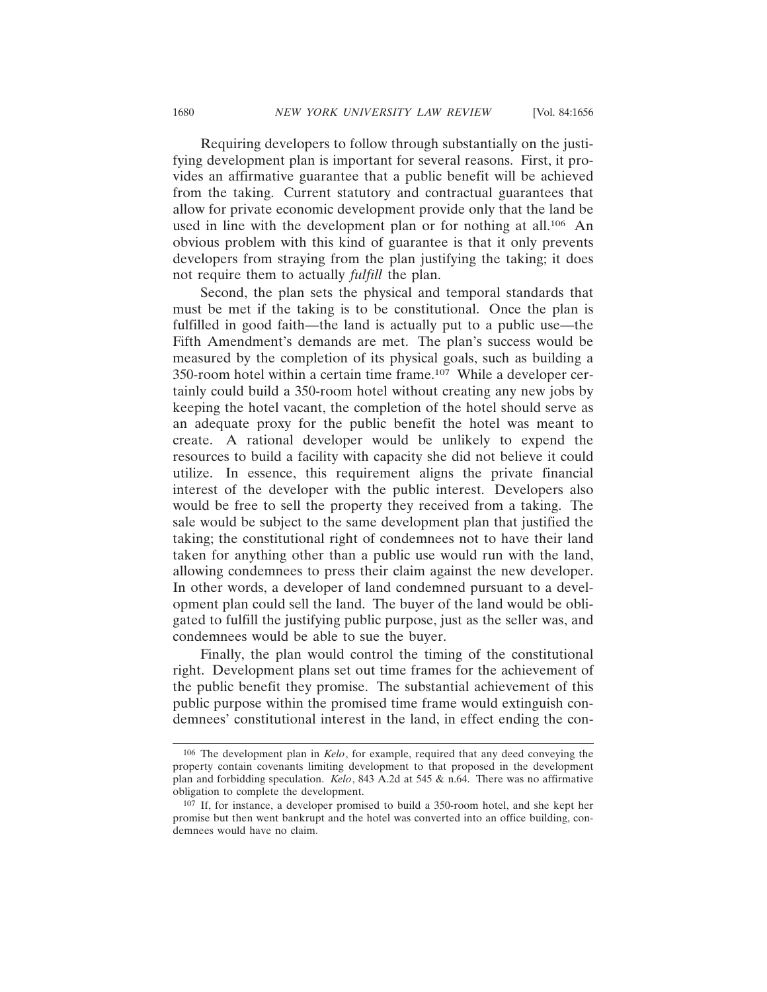Requiring developers to follow through substantially on the justifying development plan is important for several reasons. First, it provides an affirmative guarantee that a public benefit will be achieved from the taking. Current statutory and contractual guarantees that allow for private economic development provide only that the land be used in line with the development plan or for nothing at all.106 An obvious problem with this kind of guarantee is that it only prevents developers from straying from the plan justifying the taking; it does not require them to actually *fulfill* the plan.

Second, the plan sets the physical and temporal standards that must be met if the taking is to be constitutional. Once the plan is fulfilled in good faith—the land is actually put to a public use—the Fifth Amendment's demands are met. The plan's success would be measured by the completion of its physical goals, such as building a 350-room hotel within a certain time frame.107 While a developer certainly could build a 350-room hotel without creating any new jobs by keeping the hotel vacant, the completion of the hotel should serve as an adequate proxy for the public benefit the hotel was meant to create. A rational developer would be unlikely to expend the resources to build a facility with capacity she did not believe it could utilize. In essence, this requirement aligns the private financial interest of the developer with the public interest. Developers also would be free to sell the property they received from a taking. The sale would be subject to the same development plan that justified the taking; the constitutional right of condemnees not to have their land taken for anything other than a public use would run with the land, allowing condemnees to press their claim against the new developer. In other words, a developer of land condemned pursuant to a development plan could sell the land. The buyer of the land would be obligated to fulfill the justifying public purpose, just as the seller was, and condemnees would be able to sue the buyer.

Finally, the plan would control the timing of the constitutional right. Development plans set out time frames for the achievement of the public benefit they promise. The substantial achievement of this public purpose within the promised time frame would extinguish condemnees' constitutional interest in the land, in effect ending the con-

<sup>106</sup> The development plan in *Kelo*, for example, required that any deed conveying the property contain covenants limiting development to that proposed in the development plan and forbidding speculation. *Kelo*, 843 A.2d at 545 & n.64. There was no affirmative obligation to complete the development.

<sup>107</sup> If, for instance, a developer promised to build a 350-room hotel, and she kept her promise but then went bankrupt and the hotel was converted into an office building, condemnees would have no claim.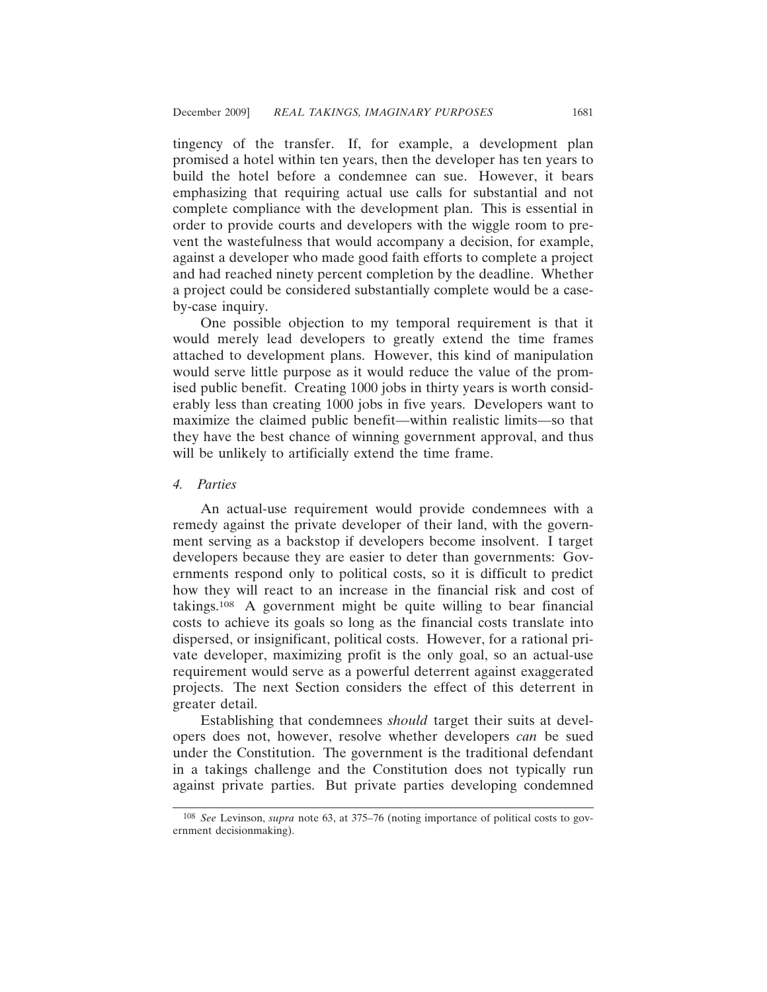tingency of the transfer. If, for example, a development plan promised a hotel within ten years, then the developer has ten years to build the hotel before a condemnee can sue. However, it bears emphasizing that requiring actual use calls for substantial and not complete compliance with the development plan. This is essential in order to provide courts and developers with the wiggle room to prevent the wastefulness that would accompany a decision, for example, against a developer who made good faith efforts to complete a project and had reached ninety percent completion by the deadline. Whether a project could be considered substantially complete would be a caseby-case inquiry.

One possible objection to my temporal requirement is that it would merely lead developers to greatly extend the time frames attached to development plans. However, this kind of manipulation would serve little purpose as it would reduce the value of the promised public benefit. Creating 1000 jobs in thirty years is worth considerably less than creating 1000 jobs in five years. Developers want to maximize the claimed public benefit—within realistic limits—so that they have the best chance of winning government approval, and thus will be unlikely to artificially extend the time frame.

# *4. Parties*

An actual-use requirement would provide condemnees with a remedy against the private developer of their land, with the government serving as a backstop if developers become insolvent. I target developers because they are easier to deter than governments: Governments respond only to political costs, so it is difficult to predict how they will react to an increase in the financial risk and cost of takings.108 A government might be quite willing to bear financial costs to achieve its goals so long as the financial costs translate into dispersed, or insignificant, political costs. However, for a rational private developer, maximizing profit is the only goal, so an actual-use requirement would serve as a powerful deterrent against exaggerated projects. The next Section considers the effect of this deterrent in greater detail.

Establishing that condemnees *should* target their suits at developers does not, however, resolve whether developers *can* be sued under the Constitution. The government is the traditional defendant in a takings challenge and the Constitution does not typically run against private parties. But private parties developing condemned

<sup>108</sup> *See* Levinson, *supra* note 63, at 375–76 (noting importance of political costs to government decisionmaking).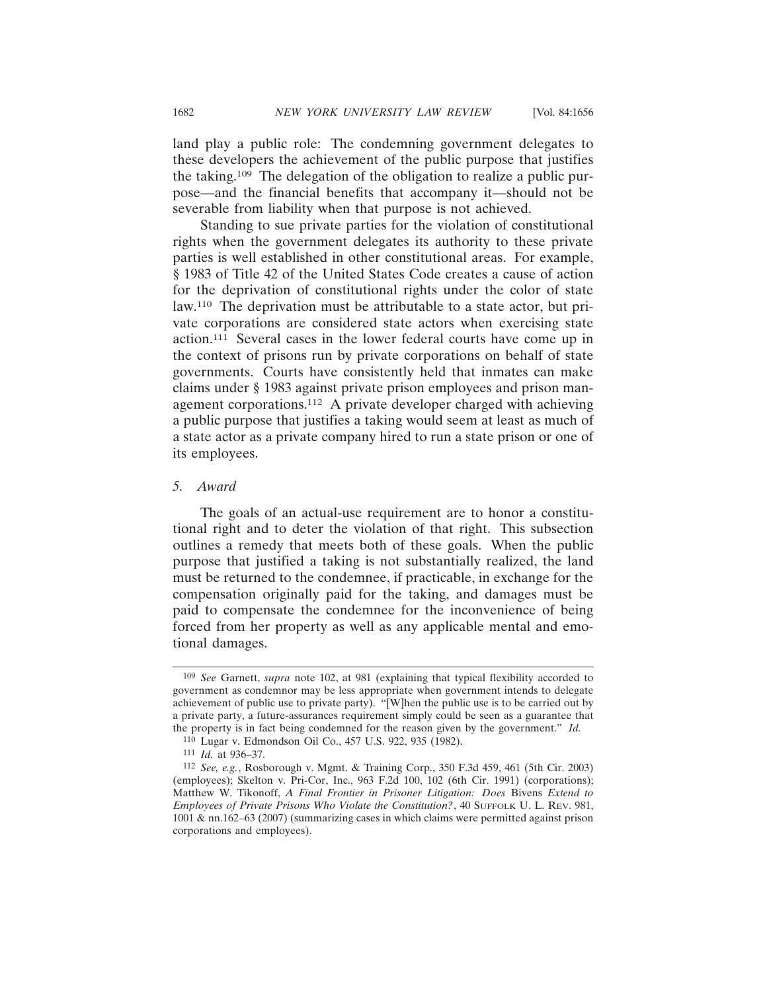land play a public role: The condemning government delegates to these developers the achievement of the public purpose that justifies the taking.109 The delegation of the obligation to realize a public purpose—and the financial benefits that accompany it—should not be severable from liability when that purpose is not achieved.

Standing to sue private parties for the violation of constitutional rights when the government delegates its authority to these private parties is well established in other constitutional areas. For example, § 1983 of Title 42 of the United States Code creates a cause of action for the deprivation of constitutional rights under the color of state law.110 The deprivation must be attributable to a state actor, but private corporations are considered state actors when exercising state action.111 Several cases in the lower federal courts have come up in the context of prisons run by private corporations on behalf of state governments. Courts have consistently held that inmates can make claims under § 1983 against private prison employees and prison management corporations.112 A private developer charged with achieving a public purpose that justifies a taking would seem at least as much of a state actor as a private company hired to run a state prison or one of its employees.

#### *5. Award*

The goals of an actual-use requirement are to honor a constitutional right and to deter the violation of that right. This subsection outlines a remedy that meets both of these goals. When the public purpose that justified a taking is not substantially realized, the land must be returned to the condemnee, if practicable, in exchange for the compensation originally paid for the taking, and damages must be paid to compensate the condemnee for the inconvenience of being forced from her property as well as any applicable mental and emotional damages.

<sup>109</sup> *See* Garnett, *supra* note 102, at 981 (explaining that typical flexibility accorded to government as condemnor may be less appropriate when government intends to delegate achievement of public use to private party). "[W]hen the public use is to be carried out by a private party, a future-assurances requirement simply could be seen as a guarantee that the property is in fact being condemned for the reason given by the government." *Id.*

<sup>110</sup> Lugar v. Edmondson Oil Co., 457 U.S. 922, 935 (1982).

<sup>111</sup> *Id.* at 936–37.

<sup>112</sup> *See, e.g.*, Rosborough v. Mgmt. & Training Corp., 350 F.3d 459, 461 (5th Cir. 2003) (employees); Skelton v. Pri-Cor, Inc., 963 F.2d 100, 102 (6th Cir. 1991) (corporations); Matthew W. Tikonoff, *A Final Frontier in Prisoner Litigation: Does* Bivens *Extend to Employees of Private Prisons Who Violate the Constitution?*, 40 SUFFOLK U. L. REV. 981, 1001 & nn.162–63 (2007) (summarizing cases in which claims were permitted against prison corporations and employees).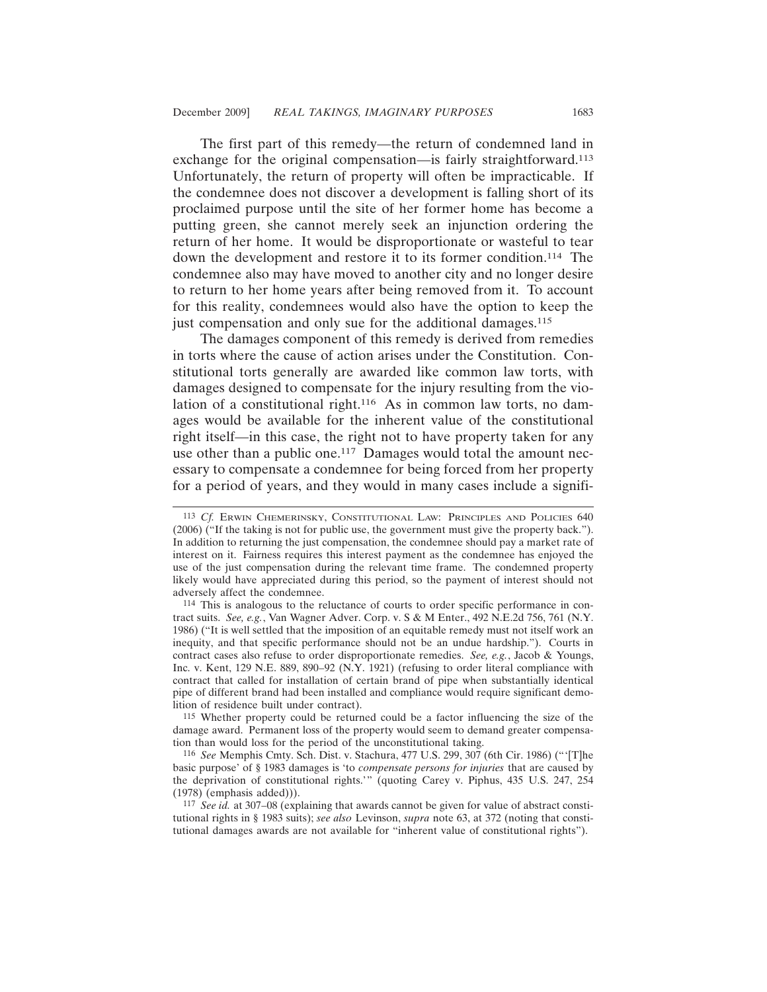The first part of this remedy—the return of condemned land in exchange for the original compensation—is fairly straightforward.113 Unfortunately, the return of property will often be impracticable. If the condemnee does not discover a development is falling short of its proclaimed purpose until the site of her former home has become a putting green, she cannot merely seek an injunction ordering the return of her home. It would be disproportionate or wasteful to tear down the development and restore it to its former condition.114 The condemnee also may have moved to another city and no longer desire to return to her home years after being removed from it. To account for this reality, condemnees would also have the option to keep the just compensation and only sue for the additional damages.<sup>115</sup>

The damages component of this remedy is derived from remedies in torts where the cause of action arises under the Constitution. Constitutional torts generally are awarded like common law torts, with damages designed to compensate for the injury resulting from the violation of a constitutional right.<sup>116</sup> As in common law torts, no damages would be available for the inherent value of the constitutional right itself—in this case, the right not to have property taken for any use other than a public one.<sup>117</sup> Damages would total the amount necessary to compensate a condemnee for being forced from her property for a period of years, and they would in many cases include a signifi-

115 Whether property could be returned could be a factor influencing the size of the damage award. Permanent loss of the property would seem to demand greater compensation than would loss for the period of the unconstitutional taking.

116 *See* Memphis Cmty. Sch. Dist. v. Stachura, 477 U.S. 299, 307 (6th Cir. 1986) ("'[T]he basic purpose' of § 1983 damages is 'to *compensate persons for injuries* that are caused by the deprivation of constitutional rights.'" (quoting Carey v. Piphus, 435 U.S. 247, 254 (1978) (emphasis added))).

<sup>113</sup> *Cf.* ERWIN CHEMERINSKY, CONSTITUTIONAL LAW: PRINCIPLES AND POLICIES 640 (2006) ("If the taking is not for public use, the government must give the property back."). In addition to returning the just compensation, the condemnee should pay a market rate of interest on it. Fairness requires this interest payment as the condemnee has enjoyed the use of the just compensation during the relevant time frame. The condemned property likely would have appreciated during this period, so the payment of interest should not adversely affect the condemnee.

<sup>114</sup> This is analogous to the reluctance of courts to order specific performance in contract suits. *See, e.g.*, Van Wagner Adver. Corp. v. S & M Enter., 492 N.E.2d 756, 761 (N.Y. 1986) ("It is well settled that the imposition of an equitable remedy must not itself work an inequity, and that specific performance should not be an undue hardship."). Courts in contract cases also refuse to order disproportionate remedies. *See, e.g.*, Jacob & Youngs, Inc. v. Kent, 129 N.E. 889, 890–92 (N.Y. 1921) (refusing to order literal compliance with contract that called for installation of certain brand of pipe when substantially identical pipe of different brand had been installed and compliance would require significant demolition of residence built under contract).

<sup>117</sup> *See id.* at 307–08 (explaining that awards cannot be given for value of abstract constitutional rights in § 1983 suits); *see also* Levinson, *supra* note 63, at 372 (noting that constitutional damages awards are not available for "inherent value of constitutional rights").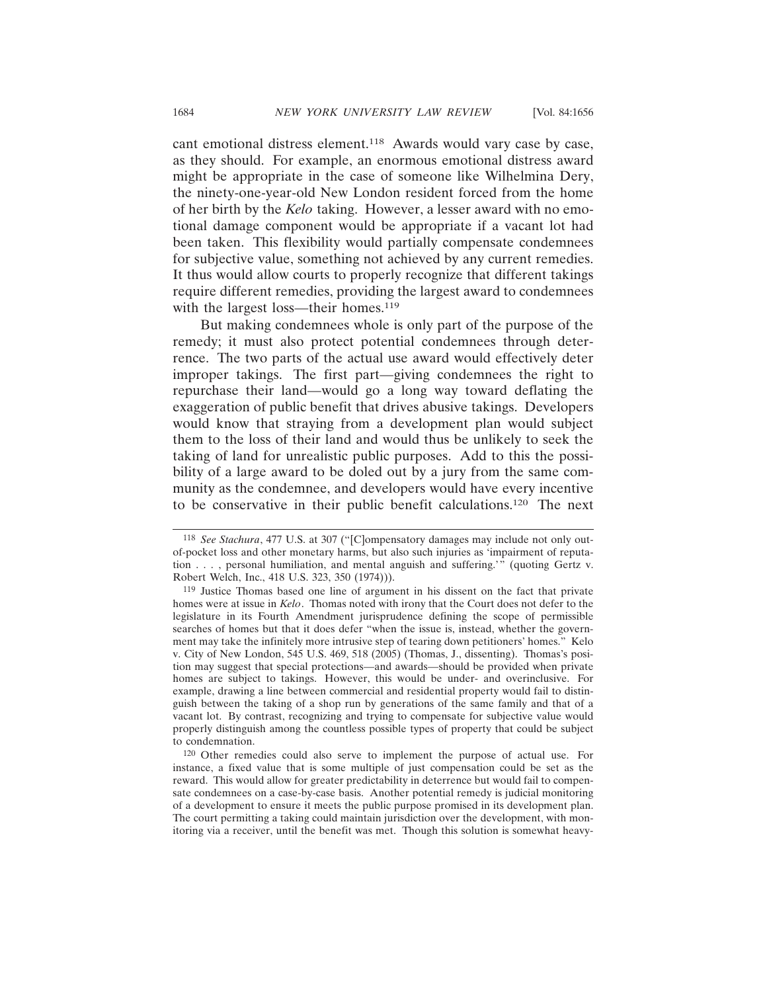cant emotional distress element.<sup>118</sup> Awards would vary case by case, as they should. For example, an enormous emotional distress award might be appropriate in the case of someone like Wilhelmina Dery, the ninety-one-year-old New London resident forced from the home of her birth by the *Kelo* taking. However, a lesser award with no emotional damage component would be appropriate if a vacant lot had been taken. This flexibility would partially compensate condemnees for subjective value, something not achieved by any current remedies. It thus would allow courts to properly recognize that different takings require different remedies, providing the largest award to condemnees with the largest loss—their homes.<sup>119</sup>

But making condemnees whole is only part of the purpose of the remedy; it must also protect potential condemnees through deterrence. The two parts of the actual use award would effectively deter improper takings. The first part—giving condemnees the right to repurchase their land—would go a long way toward deflating the exaggeration of public benefit that drives abusive takings. Developers would know that straying from a development plan would subject them to the loss of their land and would thus be unlikely to seek the taking of land for unrealistic public purposes. Add to this the possibility of a large award to be doled out by a jury from the same community as the condemnee, and developers would have every incentive to be conservative in their public benefit calculations.120 The next

<sup>118</sup> *See Stachura*, 477 U.S. at 307 ("[C]ompensatory damages may include not only outof-pocket loss and other monetary harms, but also such injuries as 'impairment of reputation . . . , personal humiliation, and mental anguish and suffering.'" (quoting Gertz v. Robert Welch, Inc., 418 U.S. 323, 350 (1974))).

<sup>119</sup> Justice Thomas based one line of argument in his dissent on the fact that private homes were at issue in *Kelo*. Thomas noted with irony that the Court does not defer to the legislature in its Fourth Amendment jurisprudence defining the scope of permissible searches of homes but that it does defer "when the issue is, instead, whether the government may take the infinitely more intrusive step of tearing down petitioners' homes." Kelo v. City of New London, 545 U.S. 469, 518 (2005) (Thomas, J., dissenting). Thomas's position may suggest that special protections—and awards—should be provided when private homes are subject to takings. However, this would be under- and overinclusive. For example, drawing a line between commercial and residential property would fail to distinguish between the taking of a shop run by generations of the same family and that of a vacant lot. By contrast, recognizing and trying to compensate for subjective value would properly distinguish among the countless possible types of property that could be subject to condemnation.

<sup>120</sup> Other remedies could also serve to implement the purpose of actual use. For instance, a fixed value that is some multiple of just compensation could be set as the reward. This would allow for greater predictability in deterrence but would fail to compensate condemnees on a case-by-case basis. Another potential remedy is judicial monitoring of a development to ensure it meets the public purpose promised in its development plan. The court permitting a taking could maintain jurisdiction over the development, with monitoring via a receiver, until the benefit was met. Though this solution is somewhat heavy-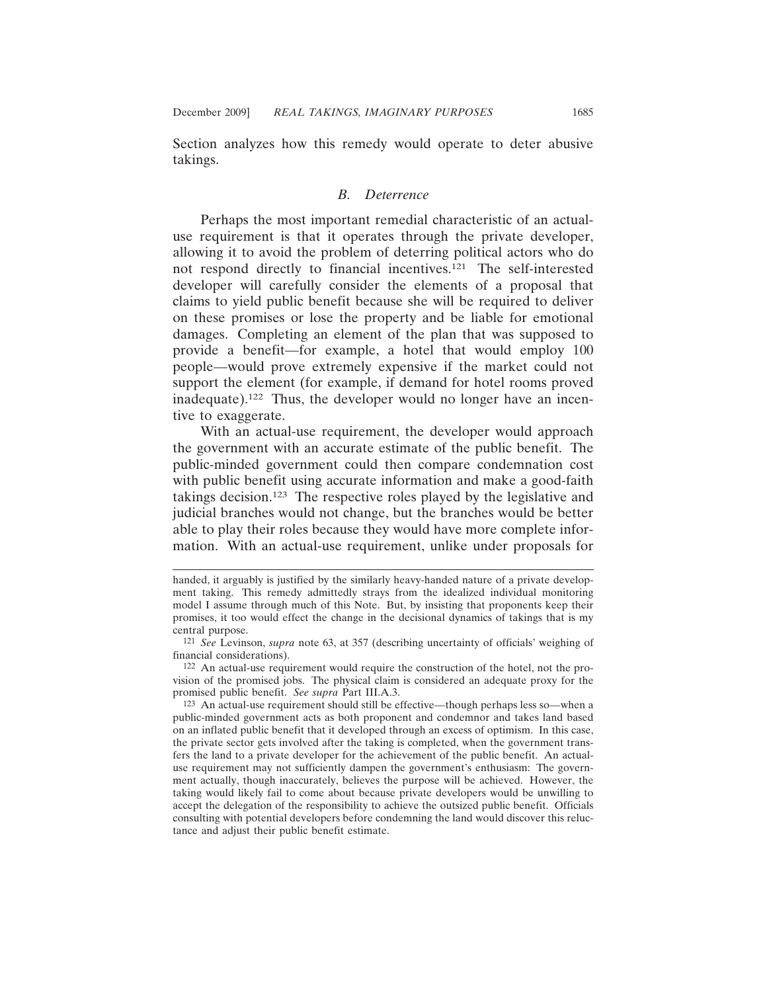Section analyzes how this remedy would operate to deter abusive takings.

#### *B. Deterrence*

Perhaps the most important remedial characteristic of an actualuse requirement is that it operates through the private developer, allowing it to avoid the problem of deterring political actors who do not respond directly to financial incentives.121 The self-interested developer will carefully consider the elements of a proposal that claims to yield public benefit because she will be required to deliver on these promises or lose the property and be liable for emotional damages. Completing an element of the plan that was supposed to provide a benefit—for example, a hotel that would employ 100 people—would prove extremely expensive if the market could not support the element (for example, if demand for hotel rooms proved inadequate).122 Thus, the developer would no longer have an incentive to exaggerate.

With an actual-use requirement, the developer would approach the government with an accurate estimate of the public benefit. The public-minded government could then compare condemnation cost with public benefit using accurate information and make a good-faith takings decision.123 The respective roles played by the legislative and judicial branches would not change, but the branches would be better able to play their roles because they would have more complete information. With an actual-use requirement, unlike under proposals for

122 An actual-use requirement would require the construction of the hotel, not the provision of the promised jobs. The physical claim is considered an adequate proxy for the promised public benefit. *See supra* Part III.A.3.

handed, it arguably is justified by the similarly heavy-handed nature of a private development taking. This remedy admittedly strays from the idealized individual monitoring model I assume through much of this Note. But, by insisting that proponents keep their promises, it too would effect the change in the decisional dynamics of takings that is my central purpose.

<sup>121</sup> *See* Levinson, *supra* note 63, at 357 (describing uncertainty of officials' weighing of financial considerations).

<sup>123</sup> An actual-use requirement should still be effective—though perhaps less so—when a public-minded government acts as both proponent and condemnor and takes land based on an inflated public benefit that it developed through an excess of optimism. In this case, the private sector gets involved after the taking is completed, when the government transfers the land to a private developer for the achievement of the public benefit. An actualuse requirement may not sufficiently dampen the government's enthusiasm: The government actually, though inaccurately, believes the purpose will be achieved. However, the taking would likely fail to come about because private developers would be unwilling to accept the delegation of the responsibility to achieve the outsized public benefit. Officials consulting with potential developers before condemning the land would discover this reluctance and adjust their public benefit estimate.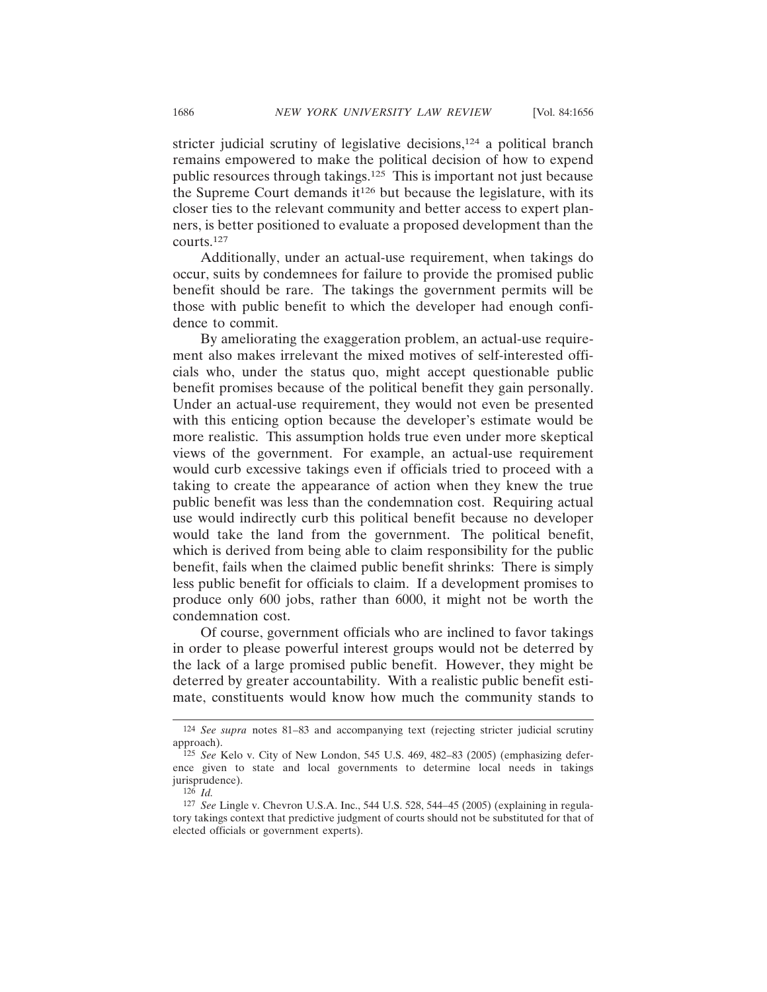stricter judicial scrutiny of legislative decisions,<sup>124</sup> a political branch remains empowered to make the political decision of how to expend public resources through takings.125 This is important not just because the Supreme Court demands  $it^{126}$  but because the legislature, with its closer ties to the relevant community and better access to expert planners, is better positioned to evaluate a proposed development than the courts.127

Additionally, under an actual-use requirement, when takings do occur, suits by condemnees for failure to provide the promised public benefit should be rare. The takings the government permits will be those with public benefit to which the developer had enough confidence to commit.

By ameliorating the exaggeration problem, an actual-use requirement also makes irrelevant the mixed motives of self-interested officials who, under the status quo, might accept questionable public benefit promises because of the political benefit they gain personally. Under an actual-use requirement, they would not even be presented with this enticing option because the developer's estimate would be more realistic. This assumption holds true even under more skeptical views of the government. For example, an actual-use requirement would curb excessive takings even if officials tried to proceed with a taking to create the appearance of action when they knew the true public benefit was less than the condemnation cost. Requiring actual use would indirectly curb this political benefit because no developer would take the land from the government. The political benefit, which is derived from being able to claim responsibility for the public benefit, fails when the claimed public benefit shrinks: There is simply less public benefit for officials to claim. If a development promises to produce only 600 jobs, rather than 6000, it might not be worth the condemnation cost.

Of course, government officials who are inclined to favor takings in order to please powerful interest groups would not be deterred by the lack of a large promised public benefit. However, they might be deterred by greater accountability. With a realistic public benefit estimate, constituents would know how much the community stands to

<sup>124</sup> *See supra* notes 81–83 and accompanying text (rejecting stricter judicial scrutiny approach).

<sup>125</sup> *See* Kelo v. City of New London, 545 U.S. 469, 482–83 (2005) (emphasizing deference given to state and local governments to determine local needs in takings jurisprudence).

<sup>126</sup> *Id.*

<sup>127</sup> *See* Lingle v. Chevron U.S.A. Inc., 544 U.S. 528, 544–45 (2005) (explaining in regulatory takings context that predictive judgment of courts should not be substituted for that of elected officials or government experts).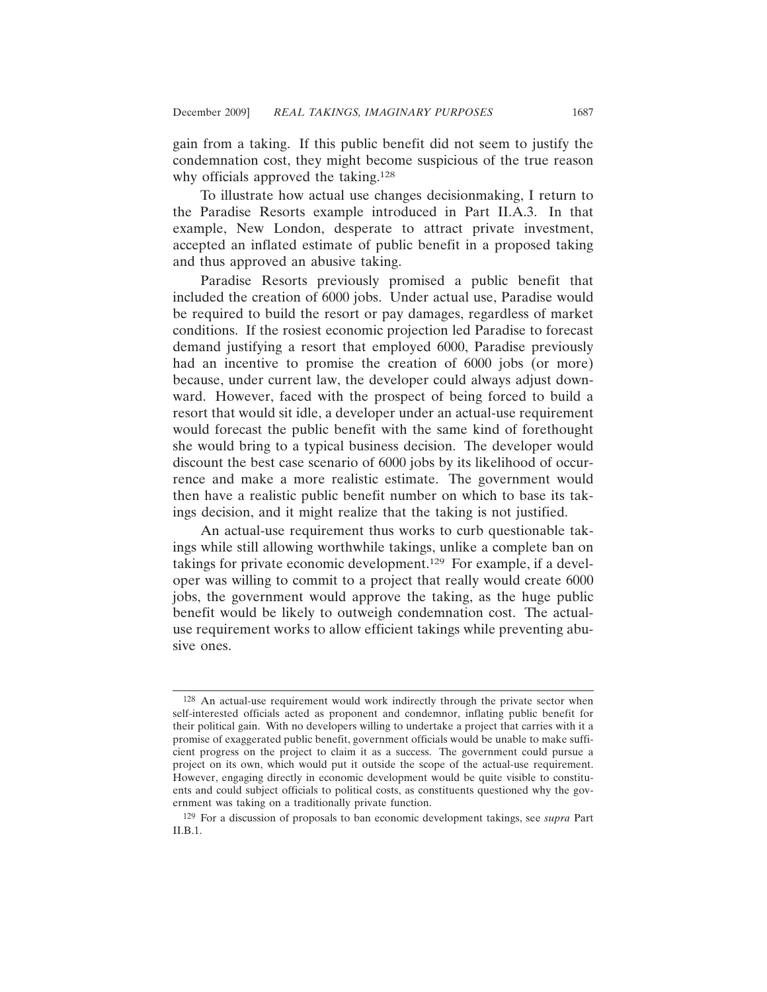gain from a taking. If this public benefit did not seem to justify the condemnation cost, they might become suspicious of the true reason why officials approved the taking.<sup>128</sup>

To illustrate how actual use changes decisionmaking, I return to the Paradise Resorts example introduced in Part II.A.3. In that example, New London, desperate to attract private investment, accepted an inflated estimate of public benefit in a proposed taking and thus approved an abusive taking.

Paradise Resorts previously promised a public benefit that included the creation of 6000 jobs. Under actual use, Paradise would be required to build the resort or pay damages, regardless of market conditions. If the rosiest economic projection led Paradise to forecast demand justifying a resort that employed 6000, Paradise previously had an incentive to promise the creation of 6000 jobs (or more) because, under current law, the developer could always adjust downward. However, faced with the prospect of being forced to build a resort that would sit idle, a developer under an actual-use requirement would forecast the public benefit with the same kind of forethought she would bring to a typical business decision. The developer would discount the best case scenario of 6000 jobs by its likelihood of occurrence and make a more realistic estimate. The government would then have a realistic public benefit number on which to base its takings decision, and it might realize that the taking is not justified.

An actual-use requirement thus works to curb questionable takings while still allowing worthwhile takings, unlike a complete ban on takings for private economic development.129 For example, if a developer was willing to commit to a project that really would create 6000 jobs, the government would approve the taking, as the huge public benefit would be likely to outweigh condemnation cost. The actualuse requirement works to allow efficient takings while preventing abusive ones.

<sup>128</sup> An actual-use requirement would work indirectly through the private sector when self-interested officials acted as proponent and condemnor, inflating public benefit for their political gain. With no developers willing to undertake a project that carries with it a promise of exaggerated public benefit, government officials would be unable to make sufficient progress on the project to claim it as a success. The government could pursue a project on its own, which would put it outside the scope of the actual-use requirement. However, engaging directly in economic development would be quite visible to constituents and could subject officials to political costs, as constituents questioned why the government was taking on a traditionally private function.

<sup>129</sup> For a discussion of proposals to ban economic development takings, see *supra* Part II.B.1.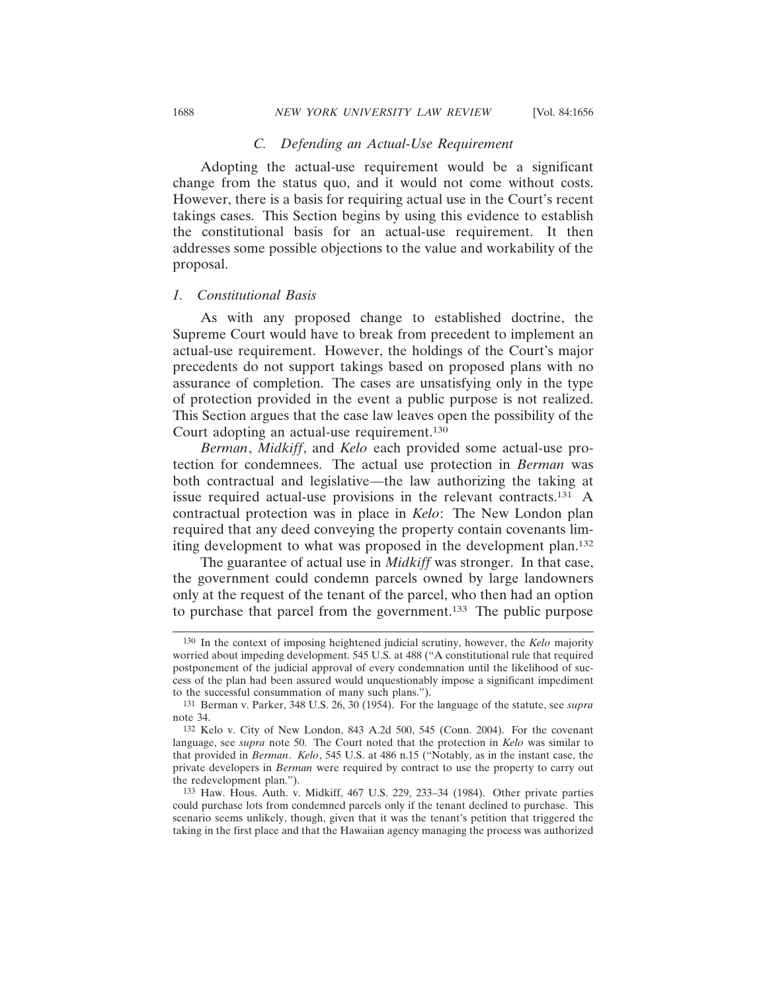# *C. Defending an Actual-Use Requirement*

Adopting the actual-use requirement would be a significant change from the status quo, and it would not come without costs. However, there is a basis for requiring actual use in the Court's recent takings cases. This Section begins by using this evidence to establish the constitutional basis for an actual-use requirement. It then addresses some possible objections to the value and workability of the proposal.

#### *1. Constitutional Basis*

As with any proposed change to established doctrine, the Supreme Court would have to break from precedent to implement an actual-use requirement. However, the holdings of the Court's major precedents do not support takings based on proposed plans with no assurance of completion. The cases are unsatisfying only in the type of protection provided in the event a public purpose is not realized. This Section argues that the case law leaves open the possibility of the Court adopting an actual-use requirement.130

*Berman*, *Midkiff*, and *Kelo* each provided some actual-use protection for condemnees. The actual use protection in *Berman* was both contractual and legislative—the law authorizing the taking at issue required actual-use provisions in the relevant contracts.131 A contractual protection was in place in *Kelo*: The New London plan required that any deed conveying the property contain covenants limiting development to what was proposed in the development plan.132

The guarantee of actual use in *Midkiff* was stronger. In that case, the government could condemn parcels owned by large landowners only at the request of the tenant of the parcel, who then had an option to purchase that parcel from the government.133 The public purpose

<sup>130</sup> In the context of imposing heightened judicial scrutiny, however, the *Kelo* majority worried about impeding development. 545 U.S. at 488 ("A constitutional rule that required postponement of the judicial approval of every condemnation until the likelihood of success of the plan had been assured would unquestionably impose a significant impediment to the successful consummation of many such plans.").

<sup>131</sup> Berman v. Parker, 348 U.S. 26, 30 (1954). For the language of the statute, see *supra* note 34.

<sup>132</sup> Kelo v. City of New London, 843 A.2d 500, 545 (Conn. 2004). For the covenant language, see *supra* note 50. The Court noted that the protection in *Kelo* was similar to that provided in *Berman*. *Kelo*, 545 U.S. at 486 n.15 ("Notably, as in the instant case, the private developers in *Berman* were required by contract to use the property to carry out the redevelopment plan.").

<sup>133</sup> Haw. Hous. Auth. v. Midkiff, 467 U.S. 229, 233–34 (1984). Other private parties could purchase lots from condemned parcels only if the tenant declined to purchase. This scenario seems unlikely, though, given that it was the tenant's petition that triggered the taking in the first place and that the Hawaiian agency managing the process was authorized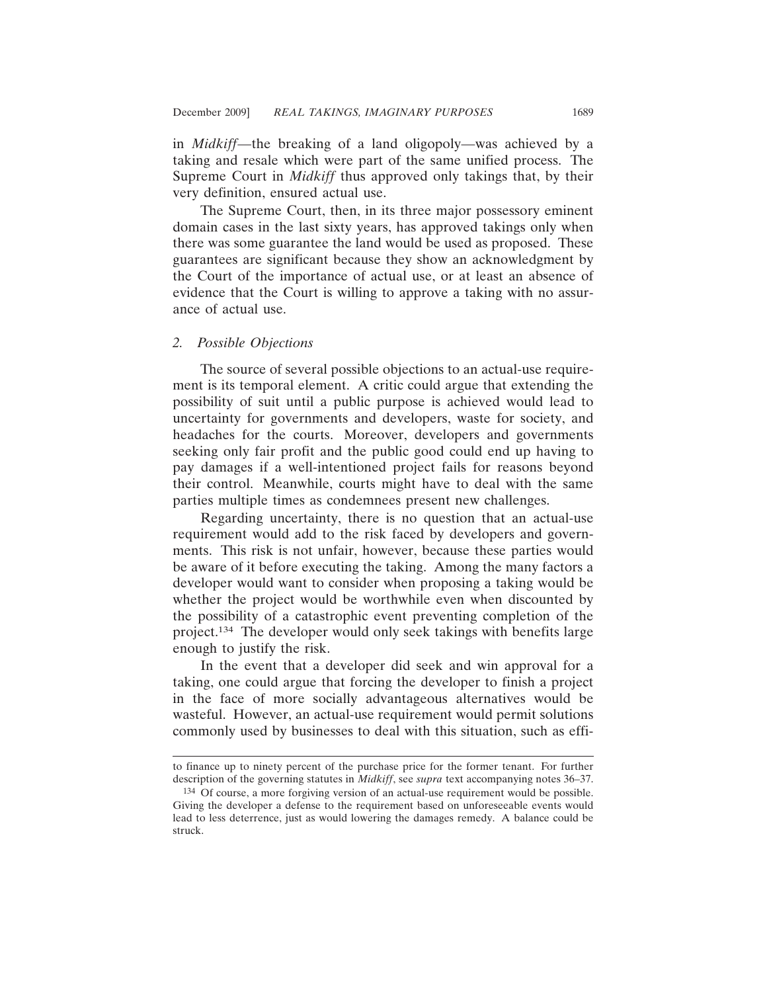in *Midkiff*—the breaking of a land oligopoly—was achieved by a taking and resale which were part of the same unified process. The Supreme Court in *Midkiff* thus approved only takings that, by their very definition, ensured actual use.

The Supreme Court, then, in its three major possessory eminent domain cases in the last sixty years, has approved takings only when there was some guarantee the land would be used as proposed. These guarantees are significant because they show an acknowledgment by the Court of the importance of actual use, or at least an absence of evidence that the Court is willing to approve a taking with no assurance of actual use.

# *2. Possible Objections*

The source of several possible objections to an actual-use requirement is its temporal element. A critic could argue that extending the possibility of suit until a public purpose is achieved would lead to uncertainty for governments and developers, waste for society, and headaches for the courts. Moreover, developers and governments seeking only fair profit and the public good could end up having to pay damages if a well-intentioned project fails for reasons beyond their control. Meanwhile, courts might have to deal with the same parties multiple times as condemnees present new challenges.

Regarding uncertainty, there is no question that an actual-use requirement would add to the risk faced by developers and governments. This risk is not unfair, however, because these parties would be aware of it before executing the taking. Among the many factors a developer would want to consider when proposing a taking would be whether the project would be worthwhile even when discounted by the possibility of a catastrophic event preventing completion of the project.134 The developer would only seek takings with benefits large enough to justify the risk.

In the event that a developer did seek and win approval for a taking, one could argue that forcing the developer to finish a project in the face of more socially advantageous alternatives would be wasteful. However, an actual-use requirement would permit solutions commonly used by businesses to deal with this situation, such as effi-

to finance up to ninety percent of the purchase price for the former tenant. For further description of the governing statutes in *Midkiff*, see *supra* text accompanying notes 36–37.

<sup>134</sup> Of course, a more forgiving version of an actual-use requirement would be possible. Giving the developer a defense to the requirement based on unforeseeable events would lead to less deterrence, just as would lowering the damages remedy. A balance could be struck.